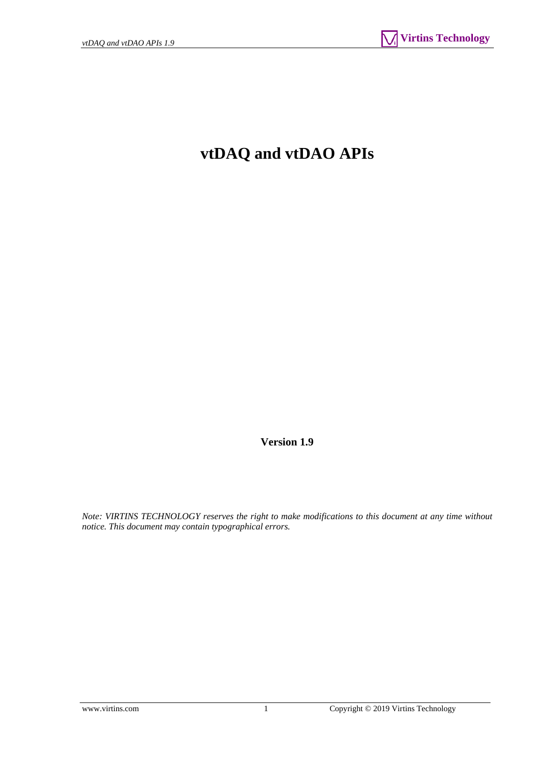# **vtDAQ and vtDAO APIs**

**Version 1.9** 

*Note: VIRTINS TECHNOLOGY reserves the right to make modifications to this document at any time without notice. This document may contain typographical errors.*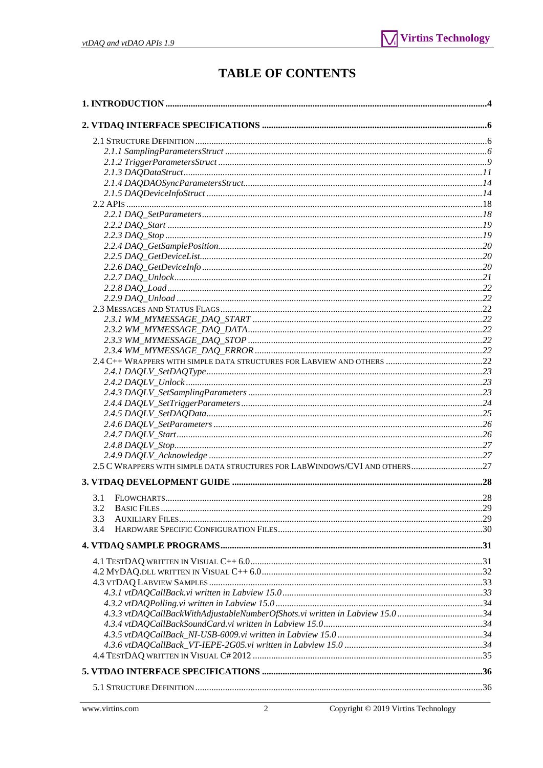# **TABLE OF CONTENTS**

| 2.5 C WRAPPERS WITH SIMPLE DATA STRUCTURES FOR LABWINDOWS/CVI AND OTHERS27  |  |
|-----------------------------------------------------------------------------|--|
|                                                                             |  |
| 3.1                                                                         |  |
| 3.2 BASIC FILES<br>.                                                        |  |
| 3.3                                                                         |  |
| 3.4                                                                         |  |
|                                                                             |  |
|                                                                             |  |
|                                                                             |  |
|                                                                             |  |
|                                                                             |  |
|                                                                             |  |
| 4.3.3 vtDAQCallBackWithAdjustableNumberOfShots.vi written in Labview 15.034 |  |
|                                                                             |  |
|                                                                             |  |
|                                                                             |  |
|                                                                             |  |
|                                                                             |  |
|                                                                             |  |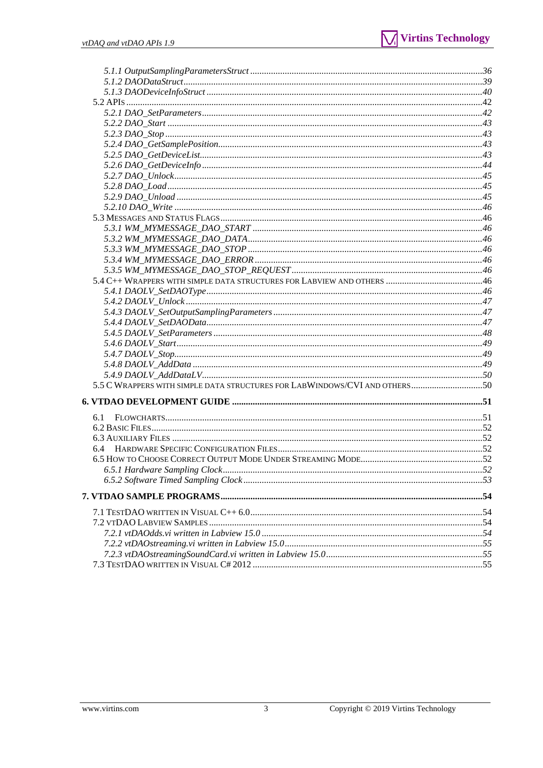| 6.1 |  |
|-----|--|
|     |  |
|     |  |
|     |  |
|     |  |
|     |  |
|     |  |
|     |  |
|     |  |
|     |  |
|     |  |
|     |  |
|     |  |
|     |  |
|     |  |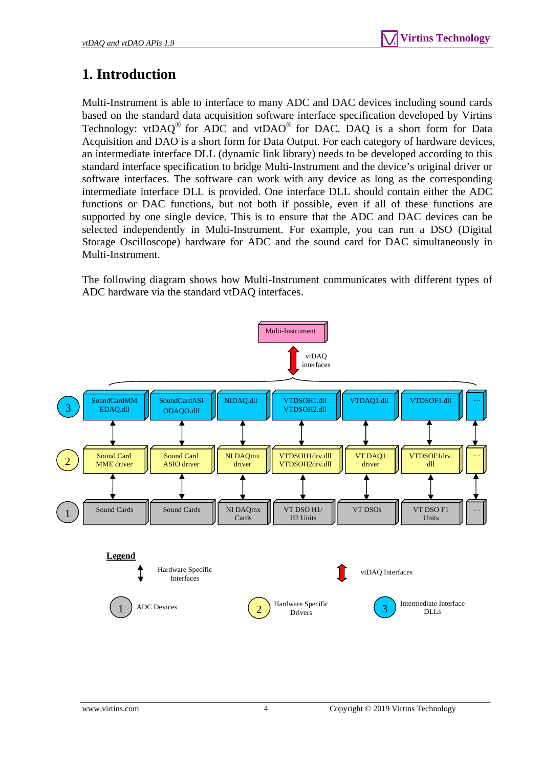# <span id="page-3-0"></span>**1. Introduction**

Multi-Instrument is able to interface to many ADC and DAC devices including sound cards based on the standard data acquisition software interface specification developed by Virtins Technology: vtDAQ<sup>®</sup> for ADC and vtDAO<sup>®</sup> for DAC. DAQ is a short form for Data Acquisition and DAO is a short form for Data Output. For each category of hardware devices, an intermediate interface DLL (dynamic link library) needs to be developed according to this standard interface specification to bridge Multi-Instrument and the device's original driver or software interfaces. The software can work with any device as long as the corresponding intermediate interface DLL is provided. One interface DLL should contain either the ADC functions or DAC functions, but not both if possible, even if all of these functions are supported by one single device. This is to ensure that the ADC and DAC devices can be selected independently in Multi-Instrument. For example, you can run a DSO (Digital Storage Oscilloscope) hardware for ADC and the sound card for DAC simultaneously in Multi-Instrument.

The following diagram shows how Multi-Instrument communicates with different types of ADC hardware via the standard vtDAQ interfaces.

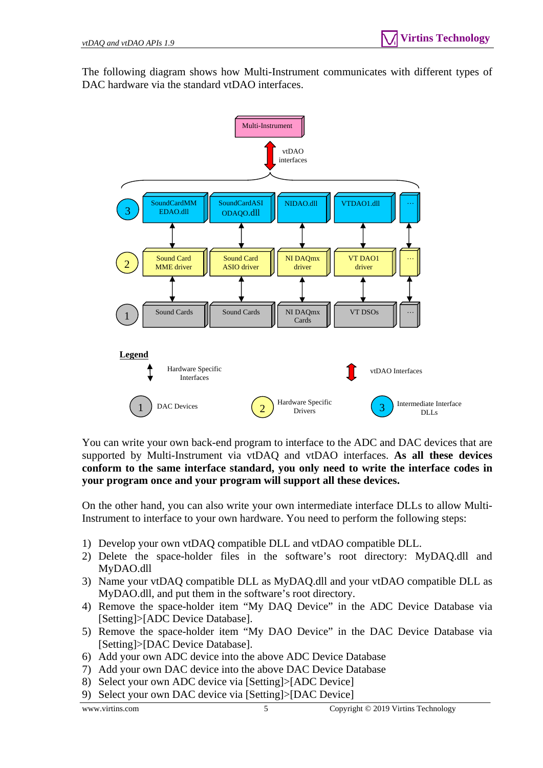The following diagram shows how Multi-Instrument communicates with different types of DAC hardware via the standard vtDAO interfaces.



You can write your own back-end program to interface to the ADC and DAC devices that are supported by Multi-Instrument via vtDAQ and vtDAO interfaces. **As all these devices conform to the same interface standard, you only need to write the interface codes in your program once and your program will support all these devices.**

On the other hand, you can also write your own intermediate interface DLLs to allow Multi-Instrument to interface to your own hardware. You need to perform the following steps:

- 1) Develop your own vtDAQ compatible DLL and vtDAO compatible DLL.
- 2) Delete the space-holder files in the software's root directory: MyDAQ.dll and MyDAO.dll
- 3) Name your vtDAQ compatible DLL as MyDAQ.dll and your vtDAO compatible DLL as MyDAO.dll, and put them in the software's root directory.
- 4) Remove the space-holder item "My DAQ Device" in the ADC Device Database via [Setting]>[ADC Device Database].
- 5) Remove the space-holder item "My DAO Device" in the DAC Device Database via [Setting]>[DAC Device Database].
- 6) Add your own ADC device into the above ADC Device Database
- 7) Add your own DAC device into the above DAC Device Database
- 8) Select your own ADC device via [Setting]>[ADC Device]
- 9) Select your own DAC device via [Setting]>[DAC Device]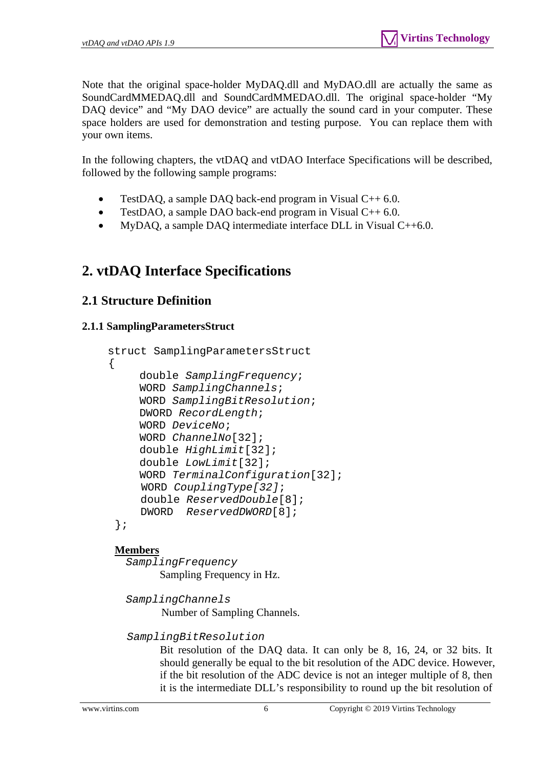Note that the original space-holder MyDAQ.dll and MyDAO.dll are actually the same as SoundCardMMEDAQ.dll and SoundCardMMEDAO.dll. The original space-holder "My DAQ device" and "My DAO device" are actually the sound card in your computer. These space holders are used for demonstration and testing purpose. You can replace them with your own items.

In the following chapters, the vtDAQ and vtDAO Interface Specifications will be described, followed by the following sample programs:

- TestDAQ, a sample DAQ back-end program in Visual C++ 6.0.
- TestDAO, a sample DAO back-end program in Visual  $C++6.0$ .
- MyDAQ, a sample DAQ intermediate interface DLL in Visual C++6.0.

# <span id="page-5-0"></span>**2. vtDAQ Interface Specifications**

# <span id="page-5-1"></span>**2.1 Structure Definition**

# <span id="page-5-2"></span>**2.1.1 SamplingParametersStruct**

```
 struct SamplingParametersStruct 
 { 
      double SamplingFrequency; 
      WORD SamplingChannels; 
      WORD SamplingBitResolution; 
      DWORD RecordLength; 
      WORD DeviceNo; 
      WORD ChannelNo[32]; 
      double HighLimit[32]; 
      double LowLimit[32]; 
      WORD TerminalConfiguration[32]; 
      WORD CouplingType[32]; 
      double ReservedDouble[8]; 
      DWORD ReservedDWORD[8]; 
  };
```
# **Members**

 *SamplingFrequency*  Sampling Frequency in Hz.

 *SamplingChannels*  Number of Sampling Channels.

 *SamplingBitResolution* 

Bit resolution of the DAQ data. It can only be 8, 16, 24, or 32 bits. It should generally be equal to the bit resolution of the ADC device. However, if the bit resolution of the ADC device is not an integer multiple of 8, then it is the intermediate DLL's responsibility to round up the bit resolution of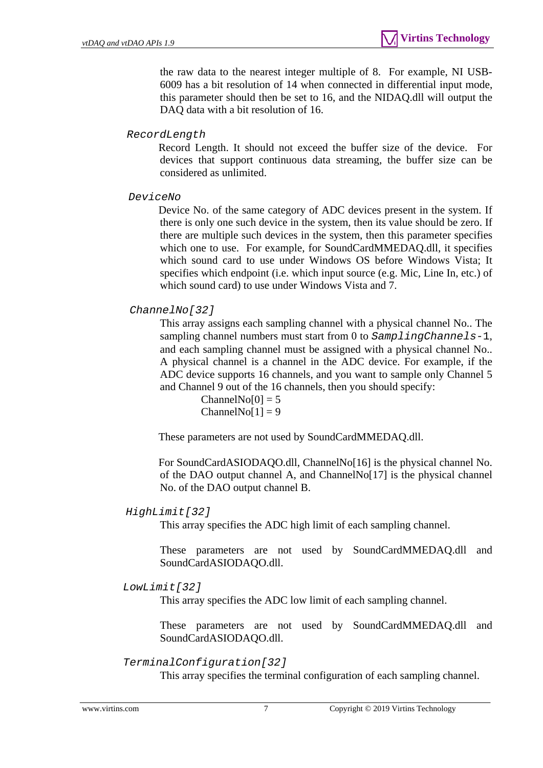the raw data to the nearest integer multiple of 8. For example, NI USB-6009 has a bit resolution of 14 when connected in differential input mode, this parameter should then be set to 16, and the NIDAQ.dll will output the DAQ data with a bit resolution of 16.

### *RecordLength*

 Record Length. It should not exceed the buffer size of the device. For devices that support continuous data streaming, the buffer size can be considered as unlimited.

#### *DeviceNo*

 Device No. of the same category of ADC devices present in the system. If there is only one such device in the system, then its value should be zero. If there are multiple such devices in the system, then this parameter specifies which one to use. For example, for SoundCardMMEDAQ.dll, it specifies which sound card to use under Windows OS before Windows Vista; It specifies which endpoint (i.e. which input source (e.g. Mic, Line In, etc.) of which sound card) to use under Windows Vista and 7.

## *ChannelNo[32]*

This array assigns each sampling channel with a physical channel No.. The sampling channel numbers must start from 0 to *SamplingChannels-*1, and each sampling channel must be assigned with a physical channel No.. A physical channel is a channel in the ADC device. For example, if the ADC device supports 16 channels, and you want to sample only Channel 5 and Channel 9 out of the 16 channels, then you should specify:

> $ChannelNo[0] = 5$  $ChannelNo[1] = 9$

These parameters are not used by SoundCardMMEDAQ.dll.

For SoundCardASIODAQO.dll, ChannelNo[16] is the physical channel No. of the DAO output channel A, and ChannelNo[17] is the physical channel No. of the DAO output channel B.

#### *HighLimit[32]*

This array specifies the ADC high limit of each sampling channel.

These parameters are not used by SoundCardMMEDAQ.dll and SoundCardASIODAQO.dll.

#### *LowLimit[32]*

This array specifies the ADC low limit of each sampling channel.

These parameters are not used by SoundCardMMEDAQ.dll and SoundCardASIODAQO.dll.

#### *TerminalConfiguration[32]*

This array specifies the terminal configuration of each sampling channel.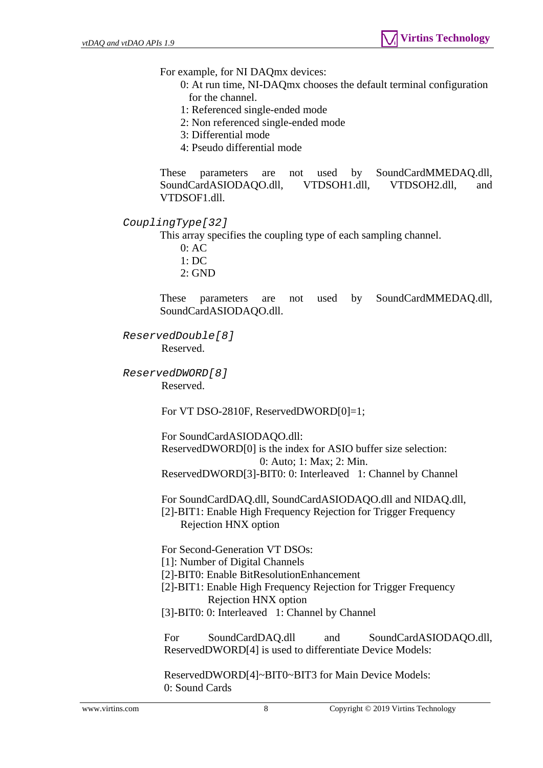For example, for NI DAQmx devices:

- 0: At run time, NI-DAQmx chooses the default terminal configuration for the channel.
- 1: Referenced single-ended mode
- 2: Non referenced single-ended mode
- 3: Differential mode
- 4: Pseudo differential mode

These parameters are not used by SoundCardMMEDAQ.dll, SoundCardASIODAQO.dll, VTDSOH1.dll, VTDSOH2.dll, and VTDSOF1.dll.

*CouplingType[32]* 

This array specifies the coupling type of each sampling channel.

- 0: AC
- 1: DC
- 2: GND

These parameters are not used by SoundCardMMEDAQ.dll, SoundCardASIODAQO.dll.

*ReservedDouble[8]*  Reserved.

*ReservedDWORD[8]* 

Reserved.

For VT DSO-2810F, ReservedDWORD[0]=1;

For SoundCardASIODAQO.dll:

 ReservedDWORD[0] is the index for ASIO buffer size selection: 0: Auto; 1: Max; 2: Min.

ReservedDWORD[3]-BIT0: 0: Interleaved 1: Channel by Channel

 For SoundCardDAQ.dll, SoundCardASIODAQO.dll and NIDAQ.dll, [2]-BIT1: Enable High Frequency Rejection for Trigger Frequency Rejection HNX option

For Second-Generation VT DSOs:

[1]: Number of Digital Channels

- [2]-BIT0: Enable BitResolutionEnhancement
- [2]-BIT1: Enable High Frequency Rejection for Trigger Frequency Rejection HNX option
- [3]-BIT0: 0: Interleaved 1: Channel by Channel

For SoundCardDAQ.dll and SoundCardASIODAOO.dll, ReservedDWORD[4] is used to differentiate Device Models:

 ReservedDWORD[4]~BIT0~BIT3 for Main Device Models: 0: Sound Cards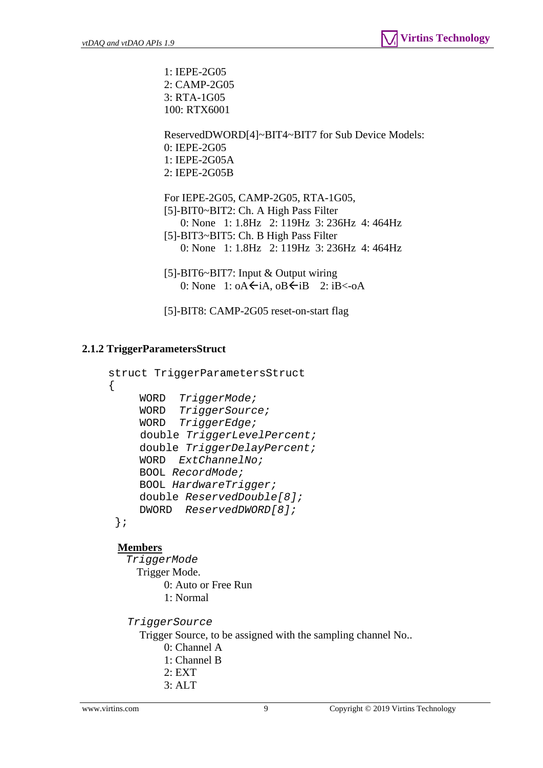1: IEPE-2G05 2: CAMP-2G05 3: RTA-1G05 100: RTX6001

 ReservedDWORD[4]~BIT4~BIT7 for Sub Device Models: 0: IEPE-2G05 1: IEPE-2G05A 2: IEPE-2G05B

 For IEPE-2G05, CAMP-2G05, RTA-1G05, [5]-BIT0~BIT2: Ch. A High Pass Filter 0: None 1: 1.8Hz 2: 119Hz 3: 236Hz 4: 464Hz [5]-BIT3~BIT5: Ch. B High Pass Filter 0: None 1: 1.8Hz 2: 119Hz 3: 236Hz 4: 464Hz

 [5]-BIT6~BIT7: Input & Output wiring 0: None 1:  $oA \leftarrow iA$ ,  $oB \leftarrow iB$  2:  $iB \leftarrow oA$ 

[5]-BIT8: CAMP-2G05 reset-on-start flag

# <span id="page-8-0"></span>**2.1.2 TriggerParametersStruct**

```
 struct TriggerParametersStruct 
 { 
     WORD TriggerMode; 
     WORD TriggerSource; 
     WORD TriggerEdge; 
      double TriggerLevelPercent; 
     double TriggerDelayPercent; 
     WORD ExtChannelNo; 
     BOOL RecordMode; 
     BOOL HardwareTrigger; 
     double ReservedDouble[8]; 
    DWORD ReservedDWORD[8]; 
  };
```
#### **Members**

 *TriggerMode*  Trigger Mode. 0: Auto or Free Run 1: Normal

*TriggerSource* 

Trigger Source, to be assigned with the sampling channel No..

- 0: Channel A
- 1: Channel B
- 2: EXT
- 3: ALT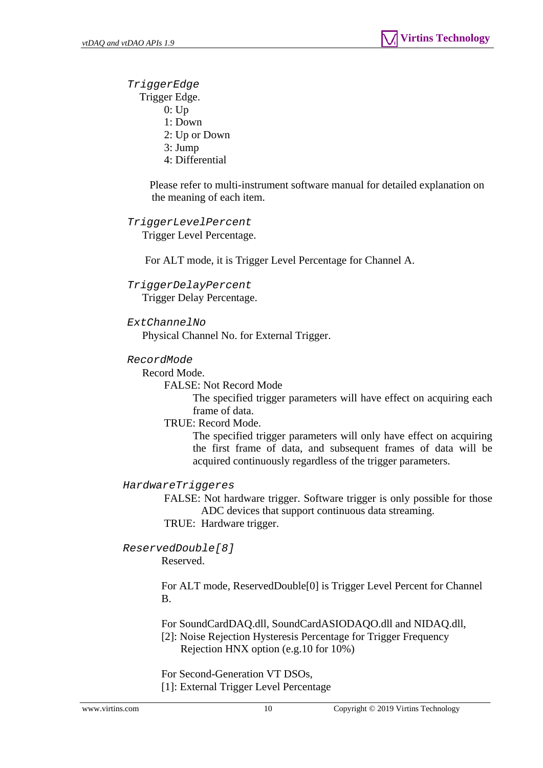*TriggerEdge* 

Trigger Edge.

- 0: Up
- 1: Down
- 2: Up or Down
- 3: Jump
- 4: Differential

Please refer to multi-instrument software manual for detailed explanation on the meaning of each item.

## *TriggerLevelPercent*

Trigger Level Percentage.

For ALT mode, it is Trigger Level Percentage for Channel A.

## *TriggerDelayPercent*

Trigger Delay Percentage.

#### *ExtChannelNo*

Physical Channel No. for External Trigger.

## *RecordMode*

Record Mode.

FALSE: Not Record Mode

The specified trigger parameters will have effect on acquiring each frame of data.

TRUE: Record Mode.

The specified trigger parameters will only have effect on acquiring the first frame of data, and subsequent frames of data will be acquired continuously regardless of the trigger parameters.

#### *HardwareTriggeres*

FALSE: Not hardware trigger. Software trigger is only possible for those ADC devices that support continuous data streaming.

TRUE: Hardware trigger.

*ReservedDouble[8]* 

Reserved.

 For ALT mode, ReservedDouble[0] is Trigger Level Percent for Channel B.

For SoundCardDAQ.dll, SoundCardASIODAQO.dll and NIDAQ.dll,

 [2]: Noise Rejection Hysteresis Percentage for Trigger Frequency Rejection HNX option (e.g.10 for 10%)

 For Second-Generation VT DSOs, [1]: External Trigger Level Percentage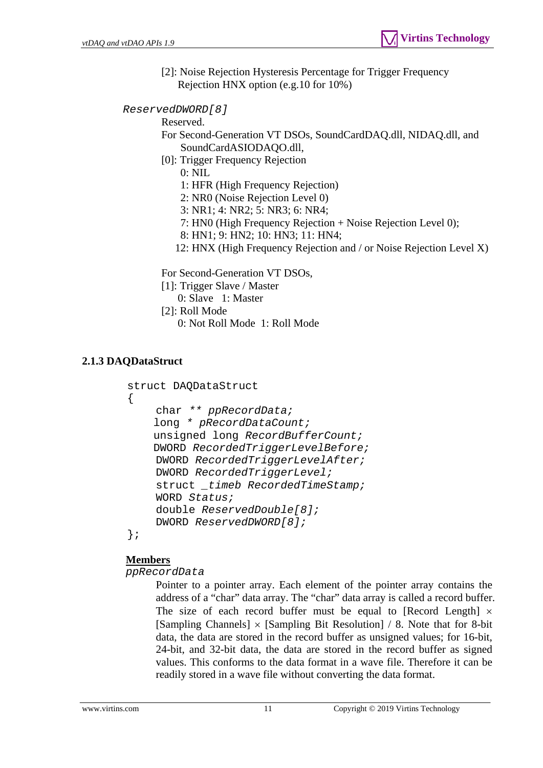[2]: Noise Rejection Hysteresis Percentage for Trigger Frequency Rejection HNX option (e.g.10 for 10%)

*ReservedDWORD[8]* 

Reserved.

 For Second-Generation VT DSOs, SoundCardDAQ.dll, NIDAQ.dll, and SoundCardASIODAQO.dll,

[0]: Trigger Frequency Rejection

0: NIL

1: HFR (High Frequency Rejection)

2: NR0 (Noise Rejection Level 0)

3: NR1; 4: NR2; 5: NR3; 6: NR4;

7: HN0 (High Frequency Rejection + Noise Rejection Level 0);

8: HN1; 9: HN2; 10: HN3; 11: HN4;

12: HNX (High Frequency Rejection and / or Noise Rejection Level X)

For Second-Generation VT DSOs,

[1]: Trigger Slave / Master

0: Slave 1: Master

- [2]: Roll Mode
	- 0: Not Roll Mode 1: Roll Mode

# <span id="page-10-0"></span>**2.1.3 DAQDataStruct**

```
struct DAQDataStruct 
{ 
    char ** ppRecordData; 
     long * pRecordDataCount; 
     unsigned long RecordBufferCount; 
     DWORD RecordedTriggerLevelBefore; 
    DWORD RecordedTriggerLevelAfter; 
    DWORD RecordedTriggerLevel; 
    struct _timeb RecordedTimeStamp; 
    WORD Status; 
    double ReservedDouble[8]; 
    DWORD ReservedDWORD[8]; 
};
```
# **Members**

*ppRecordData* 

Pointer to a pointer array. Each element of the pointer array contains the address of a "char" data array. The "char" data array is called a record buffer. The size of each record buffer must be equal to [Record Length]  $\times$ [Sampling Channels]  $\times$  [Sampling Bit Resolution] / 8. Note that for 8-bit data, the data are stored in the record buffer as unsigned values; for 16-bit, 24-bit, and 32-bit data, the data are stored in the record buffer as signed values. This conforms to the data format in a wave file. Therefore it can be readily stored in a wave file without converting the data format.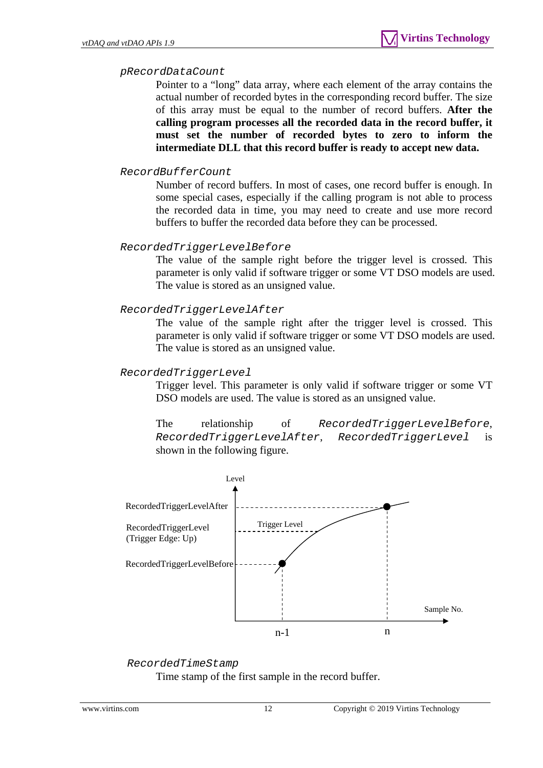#### *pRecordDataCount*

Pointer to a "long" data array, where each element of the array contains the actual number of recorded bytes in the corresponding record buffer. The size of this array must be equal to the number of record buffers. **After the calling program processes all the recorded data in the record buffer, it must set the number of recorded bytes to zero to inform the intermediate DLL that this record buffer is ready to accept new data.** 

#### *RecordBufferCount*

Number of record buffers. In most of cases, one record buffer is enough. In some special cases, especially if the calling program is not able to process the recorded data in time, you may need to create and use more record buffers to buffer the recorded data before they can be processed.

#### *RecordedTriggerLevelBefore*

The value of the sample right before the trigger level is crossed. This parameter is only valid if software trigger or some VT DSO models are used. The value is stored as an unsigned value.

#### *RecordedTriggerLevelAfter*

The value of the sample right after the trigger level is crossed. This parameter is only valid if software trigger or some VT DSO models are used. The value is stored as an unsigned value.

#### *RecordedTriggerLevel*

Trigger level. This parameter is only valid if software trigger or some VT DSO models are used. The value is stored as an unsigned value.

The relationship of *RecordedTriggerLevelBefore*, *RecordedTriggerLevelAfter*, *RecordedTriggerLevel* is shown in the following figure.



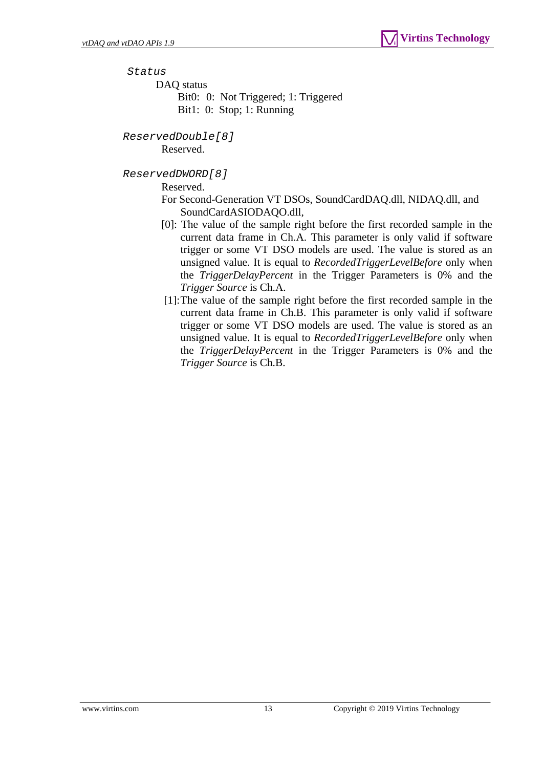*Status* 

DAQ status

Bit0: 0: Not Triggered; 1: Triggered Bit1: 0: Stop; 1: Running

*ReservedDouble[8]* 

Reserved.

*ReservedDWORD[8]* 

Reserved.

 For Second-Generation VT DSOs, SoundCardDAQ.dll, NIDAQ.dll, and SoundCardASIODAQO.dll,

- [0]: The value of the sample right before the first recorded sample in the current data frame in Ch.A. This parameter is only valid if software trigger or some VT DSO models are used. The value is stored as an unsigned value. It is equal to *RecordedTriggerLevelBefore* only when the *TriggerDelayPercent* in the Trigger Parameters is 0% and the *Trigger Source* is Ch.A.
- [1]: The value of the sample right before the first recorded sample in the current data frame in Ch.B. This parameter is only valid if software trigger or some VT DSO models are used. The value is stored as an unsigned value. It is equal to *RecordedTriggerLevelBefore* only when the *TriggerDelayPercent* in the Trigger Parameters is 0% and the *Trigger Source* is Ch.B.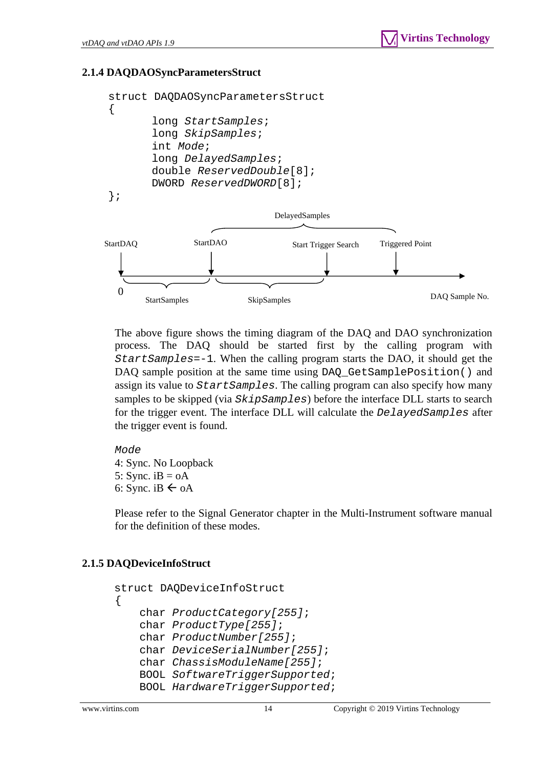# <span id="page-13-0"></span>**2.1.4 DAQDAOSyncParametersStruct**



The above figure shows the timing diagram of the DAQ and DAO synchronization process. The DAQ should be started first by the calling program with *StartSamples*=-1. When the calling program starts the DAO, it should get the DAQ sample position at the same time using DAQ\_GetSamplePosition() and assign its value to *StartSamples*. The calling program can also specify how many samples to be skipped (via *SkipSamples*) before the interface DLL starts to search for the trigger event. The interface DLL will calculate the *DelayedSamples* after the trigger event is found.

*Mode* 4: Sync. No Loopback 5: Sync.  $iB = oA$ 6: Sync. iB  $\leftarrow$  oA

Please refer to the Signal Generator chapter in the Multi-Instrument software manual for the definition of these modes.

#### <span id="page-13-1"></span>**2.1.5 DAQDeviceInfoStruct**

```
 struct DAQDeviceInfoStruct 
\{ char ProductCategory[255]; 
     char ProductType[255]; 
     char ProductNumber[255]; 
     char DeviceSerialNumber[255]; 
     char ChassisModuleName[255]; 
     BOOL SoftwareTriggerSupported; 
     BOOL HardwareTriggerSupported;
```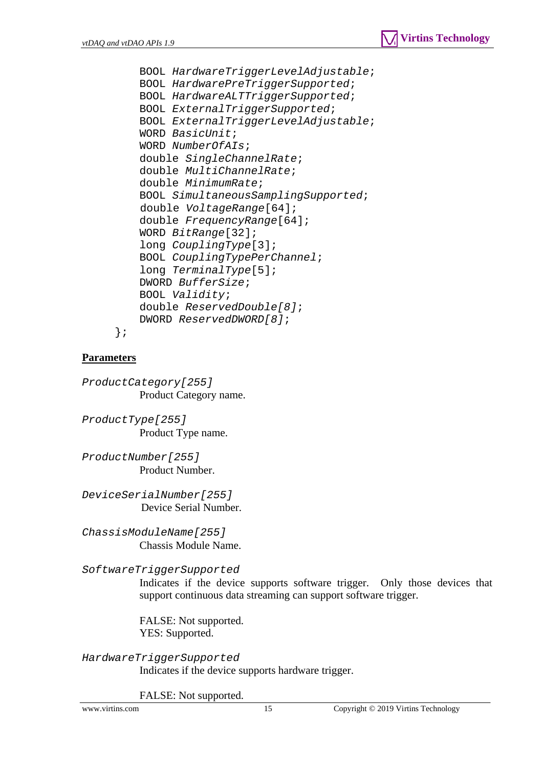

 BOOL *HardwareTriggerLevelAdjustable*; BOOL *HardwarePreTriggerSupported*; BOOL *HardwareALTTriggerSupported*; BOOL *ExternalTriggerSupported*; BOOL *ExternalTriggerLevelAdjustable*; WORD *BasicUnit*; WORD *NumberOfAIs*; double *SingleChannelRate*; double *MultiChannelRate*; double *MinimumRate*; BOOL *SimultaneousSamplingSupported*; double *VoltageRange*[64]; double *FrequencyRange*[64]; WORD *BitRange*[32]; long *CouplingType*[3]; BOOL *CouplingTypePerChannel*; long *TerminalType*[5]; DWORD *BufferSize*; BOOL *Validity*; double *ReservedDouble[8]*; DWORD *ReservedDWORD[8]*;

## **Parameters**

};

*ProductCategory[255]*  Product Category name.

*ProductType[255]*  Product Type name.

*ProductNumber[255]*  Product Number.

*DeviceSerialNumber[255]*  Device Serial Number.

*ChassisModuleName[255]*  Chassis Module Name.

*SoftwareTriggerSupported* 

Indicates if the device supports software trigger. Only those devices that support continuous data streaming can support software trigger.

FALSE: Not supported. YES: Supported.

*HardwareTriggerSupported* 

Indicates if the device supports hardware trigger.

FALSE: Not supported.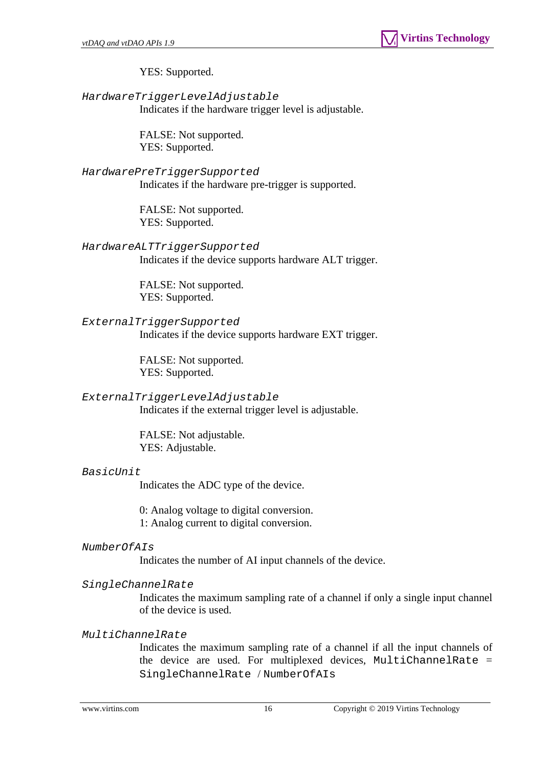YES: Supported.

*HardwareTriggerLevelAdjustable*  Indicates if the hardware trigger level is adjustable.

> FALSE: Not supported. YES: Supported.

### *HardwarePreTriggerSupported*

Indicates if the hardware pre-trigger is supported.

FALSE: Not supported. YES: Supported.

*HardwareALTTriggerSupported* 

Indicates if the device supports hardware ALT trigger.

FALSE: Not supported. YES: Supported.

*ExternalTriggerSupported*  Indicates if the device supports hardware EXT trigger.

> FALSE: Not supported. YES: Supported.

# *ExternalTriggerLevelAdjustable*

Indicates if the external trigger level is adjustable.

FALSE: Not adjustable. YES: Adjustable.

#### *BasicUnit*

Indicates the ADC type of the device.

0: Analog voltage to digital conversion.

1: Analog current to digital conversion.

#### *NumberOfAIs*

Indicates the number of AI input channels of the device.

#### *SingleChannelRate*

Indicates the maximum sampling rate of a channel if only a single input channel of the device is used.

#### *MultiChannelRate*

Indicates the maximum sampling rate of a channel if all the input channels of the device are used. For multiplexed devices, MultiChannelRate = SingleChannelRate / NumberOfAIs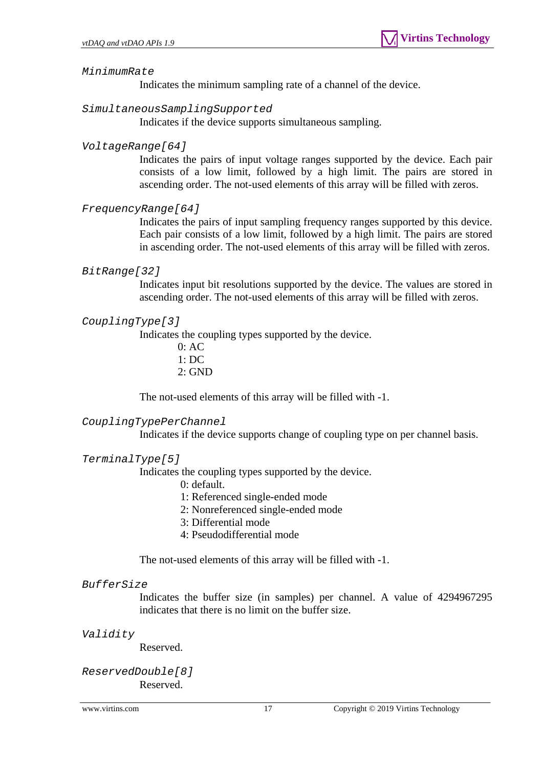#### *MinimumRate*

Indicates the minimum sampling rate of a channel of the device.

### *SimultaneousSamplingSupported*

Indicates if the device supports simultaneous sampling.

### *VoltageRange[64]*

Indicates the pairs of input voltage ranges supported by the device. Each pair consists of a low limit, followed by a high limit. The pairs are stored in ascending order. The not-used elements of this array will be filled with zeros.

## *FrequencyRange[64]*

Indicates the pairs of input sampling frequency ranges supported by this device. Each pair consists of a low limit, followed by a high limit. The pairs are stored in ascending order. The not-used elements of this array will be filled with zeros.

#### *BitRange[32]*

Indicates input bit resolutions supported by the device. The values are stored in ascending order. The not-used elements of this array will be filled with zeros.

## *CouplingType[3]*

Indicates the coupling types supported by the device.

 $0: AC$ 1: DC  $2.$  GND

The not-used elements of this array will be filled with -1.

#### *CouplingTypePerChannel*

Indicates if the device supports change of coupling type on per channel basis.

#### *TerminalType[5]*

Indicates the coupling types supported by the device.

- 0: default.
- 1: Referenced single-ended mode
- 2: Nonreferenced single-ended mode
- 3: Differential mode
- 4: Pseudodifferential mode

The not-used elements of this array will be filled with -1.

#### *BufferSize*

Indicates the buffer size (in samples) per channel. A value of 4294967295 indicates that there is no limit on the buffer size.

*Validity* 

Reserved.

#### *ReservedDouble[8]*  Reserved.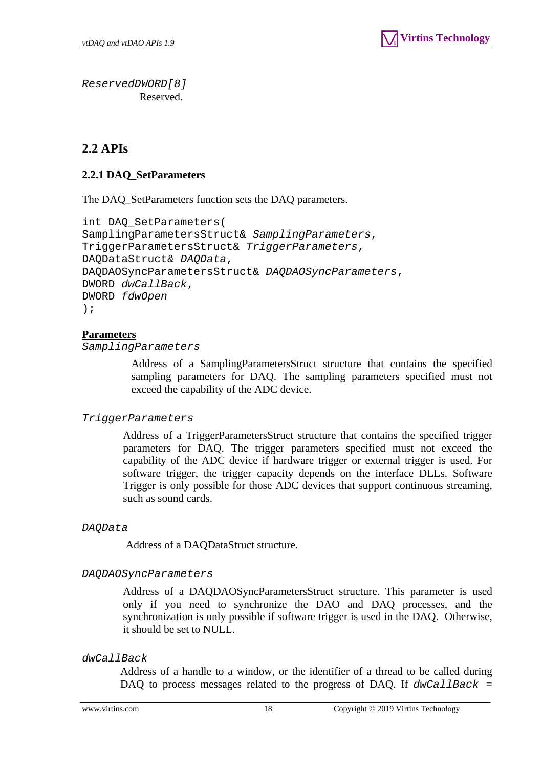*ReservedDWORD[8]*  Reserved.

# <span id="page-17-0"></span>**2.2 APIs**

# <span id="page-17-1"></span>**2.2.1 DAQ\_SetParameters**

The DAQ\_SetParameters function sets the DAQ parameters.

```
int DAQ_SetParameters( 
SamplingParametersStruct& SamplingParameters, 
TriggerParametersStruct& TriggerParameters, 
DAQDataStruct& DAQData, 
DAQDAOSyncParametersStruct& DAQDAOSyncParameters, 
DWORD dwCallBack, 
DWORD fdwOpen 
);
```
## **Parameters**

*SamplingParameters* 

 Address of a SamplingParametersStruct structure that contains the specified sampling parameters for DAQ. The sampling parameters specified must not exceed the capability of the ADC device.

#### *TriggerParameters*

 Address of a TriggerParametersStruct structure that contains the specified trigger parameters for DAQ. The trigger parameters specified must not exceed the capability of the ADC device if hardware trigger or external trigger is used. For software trigger, the trigger capacity depends on the interface DLLs. Software Trigger is only possible for those ADC devices that support continuous streaming, such as sound cards.

#### *DAQData*

Address of a DAQDataStruct structure.

#### *DAQDAOSyncParameters*

Address of a DAQDAOSyncParametersStruct structure. This parameter is used only if you need to synchronize the DAO and DAQ processes, and the synchronization is only possible if software trigger is used in the DAQ. Otherwise, it should be set to NULL.

#### *dwCallBack*

Address of a handle to a window, or the identifier of a thread to be called during DAQ to process messages related to the progress of DAQ. If *dwCallBack* =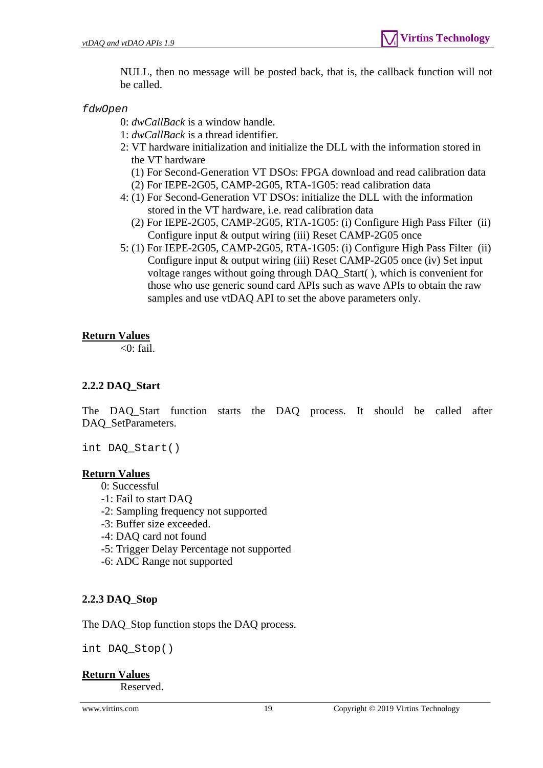NULL, then no message will be posted back, that is, the callback function will not be called.

*fdwOpen* 

0: *dwCallBack* is a window handle.

- 1: *dwCallBack* is a thread identifier.
- 2: VT hardware initialization and initialize the DLL with the information stored in the VT hardware
	- (1) For Second-Generation VT DSOs: FPGA download and read calibration data
	- (2) For IEPE-2G05, CAMP-2G05, RTA-1G05: read calibration data
- 4: (1) For Second-Generation VT DSOs: initialize the DLL with the information stored in the VT hardware, i.e. read calibration data
	- (2) For IEPE-2G05, CAMP-2G05, RTA-1G05: (i) Configure High Pass Filter (ii) Configure input & output wiring (iii) Reset CAMP-2G05 once
- 5: (1) For IEPE-2G05, CAMP-2G05, RTA-1G05: (i) Configure High Pass Filter (ii) Configure input & output wiring (iii) Reset CAMP-2G05 once (iv) Set input voltage ranges without going through DAQ\_Start( ), which is convenient for those who use generic sound card APIs such as wave APIs to obtain the raw samples and use vtDAQ API to set the above parameters only.

## **Return Values**

 $\langle 0:$  fail.

# <span id="page-18-0"></span>**2.2.2 DAQ\_Start**

The DAQ\_Start function starts the DAQ process. It should be called after DAQ\_SetParameters.

int DAQ\_Start()

#### **Return Values**

- 0: Successful
- -1: Fail to start DAQ
- -2: Sampling frequency not supported
- -3: Buffer size exceeded.
- -4: DAQ card not found
- -5: Trigger Delay Percentage not supported
- -6: ADC Range not supported

# <span id="page-18-1"></span>**2.2.3 DAQ\_Stop**

The DAQ\_Stop function stops the DAQ process.

int DAQ\_Stop()

# **Return Values**

Reserved.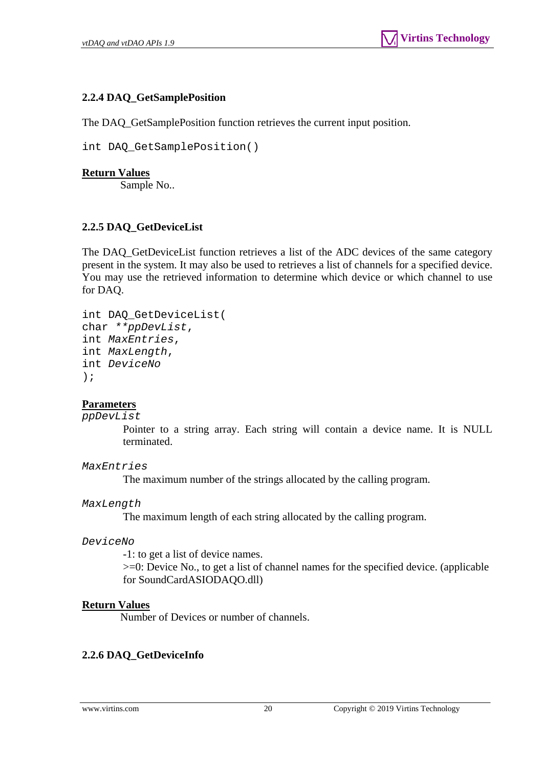# <span id="page-19-0"></span>**2.2.4 DAQ\_GetSamplePosition**

The DAQ GetSamplePosition function retrieves the current input position.

```
int DAQ_GetSamplePosition()
```
### **Return Values**

Sample No..

# <span id="page-19-1"></span>**2.2.5 DAQ\_GetDeviceList**

The DAQ\_GetDeviceList function retrieves a list of the ADC devices of the same category present in the system. It may also be used to retrieves a list of channels for a specified device. You may use the retrieved information to determine which device or which channel to use for DAQ.

```
int DAQ_GetDeviceList( 
char **ppDevList, 
int MaxEntries, 
int MaxLength, 
int DeviceNo
);
```
#### **Parameters**

#### *ppDevList*

Pointer to a string array. Each string will contain a device name. It is NULL terminated.

#### *MaxEntries*

The maximum number of the strings allocated by the calling program.

#### *MaxLength*

The maximum length of each string allocated by the calling program.

#### *DeviceNo*

-1: to get a list of device names.

>=0: Device No., to get a list of channel names for the specified device. (applicable for SoundCardASIODAQO.dll)

#### **Return Values**

Number of Devices or number of channels.

# <span id="page-19-2"></span>**2.2.6 DAQ\_GetDeviceInfo**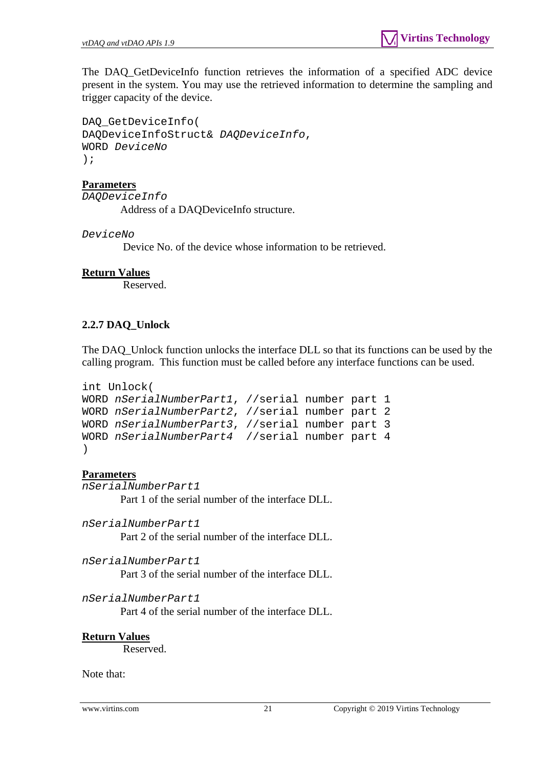The DAQ\_GetDeviceInfo function retrieves the information of a specified ADC device present in the system. You may use the retrieved information to determine the sampling and trigger capacity of the device.

DAQ\_GetDeviceInfo( DAQDeviceInfoStruct& *DAQDeviceInfo*, WORD *DeviceNo* );

#### **Parameters**

*DAQDeviceInfo* 

Address of a DAQDeviceInfo structure.

*DeviceNo* 

Device No. of the device whose information to be retrieved.

#### **Return Values**

Reserved.

## <span id="page-20-0"></span>**2.2.7 DAQ\_Unlock**

The DAQ\_Unlock function unlocks the interface DLL so that its functions can be used by the calling program. This function must be called before any interface functions can be used.

```
int Unlock( 
WORD nSerialNumberPart1, //serial number part 1 
WORD nSerialNumberPart2, //serial number part 2 
WORD nSerialNumberPart3, //serial number part 3 
WORD nSerialNumberPart4 //serial number part 4 
)
```
#### **Parameters**

*nSerialNumberPart1*  Part 1 of the serial number of the interface DLL.

*nSerialNumberPart1* 

Part 2 of the serial number of the interface DLL.

```
nSerialNumberPart1
```
Part 3 of the serial number of the interface DLL.

```
nSerialNumberPart1
```
Part 4 of the serial number of the interface DLL.

#### **Return Values**

Reserved.

Note that: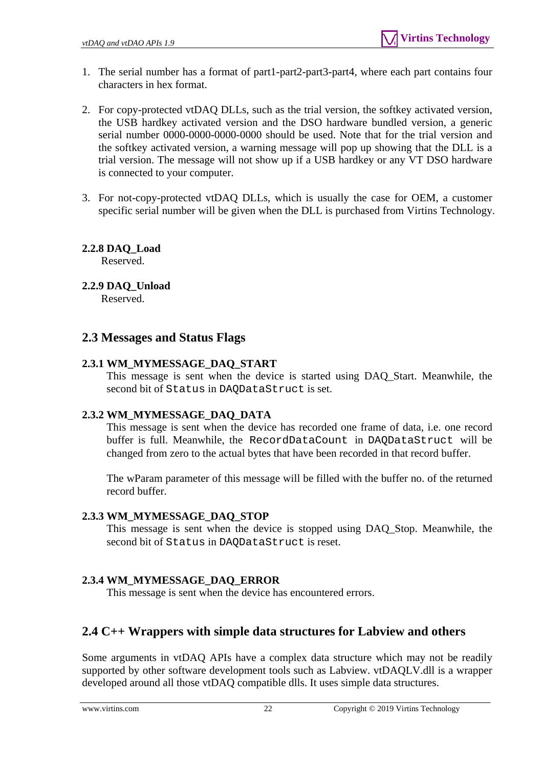- 1. The serial number has a format of part1-part2-part3-part4, where each part contains four characters in hex format.
- 2. For copy-protected vtDAQ DLLs, such as the trial version, the softkey activated version, the USB hardkey activated version and the DSO hardware bundled version, a generic serial number 0000-0000-0000-0000 should be used. Note that for the trial version and the softkey activated version, a warning message will pop up showing that the DLL is a trial version. The message will not show up if a USB hardkey or any VT DSO hardware is connected to your computer.
- 3. For not-copy-protected vtDAQ DLLs, which is usually the case for OEM, a customer specific serial number will be given when the DLL is purchased from Virtins Technology.

# <span id="page-21-0"></span>**2.2.8 DAQ\_Load**

Reserved.

# <span id="page-21-1"></span>**2.2.9 DAQ\_Unload**

Reserved.

# <span id="page-21-2"></span>**2.3 Messages and Status Flags**

# <span id="page-21-3"></span>**2.3.1 WM\_MYMESSAGE\_DAQ\_START**

This message is sent when the device is started using DAQ\_Start. Meanwhile, the second bit of Status in DAQDataStruct is set.

# <span id="page-21-4"></span>**2.3.2 WM\_MYMESSAGE\_DAQ\_DATA**

This message is sent when the device has recorded one frame of data, i.e. one record buffer is full. Meanwhile, the RecordDataCount in DAQDataStruct will be changed from zero to the actual bytes that have been recorded in that record buffer.

The wParam parameter of this message will be filled with the buffer no. of the returned record buffer.

# <span id="page-21-5"></span>**2.3.3 WM\_MYMESSAGE\_DAQ\_STOP**

This message is sent when the device is stopped using DAQ\_Stop. Meanwhile, the second bit of Status in DAQDataStruct is reset.

# <span id="page-21-6"></span>**2.3.4 WM\_MYMESSAGE\_DAQ\_ERROR**

This message is sent when the device has encountered errors.

# <span id="page-21-7"></span>**2.4 C++ Wrappers with simple data structures for Labview and others**

Some arguments in vtDAQ APIs have a complex data structure which may not be readily supported by other software development tools such as Labview. vtDAQLV.dll is a wrapper developed around all those vtDAQ compatible dlls. It uses simple data structures.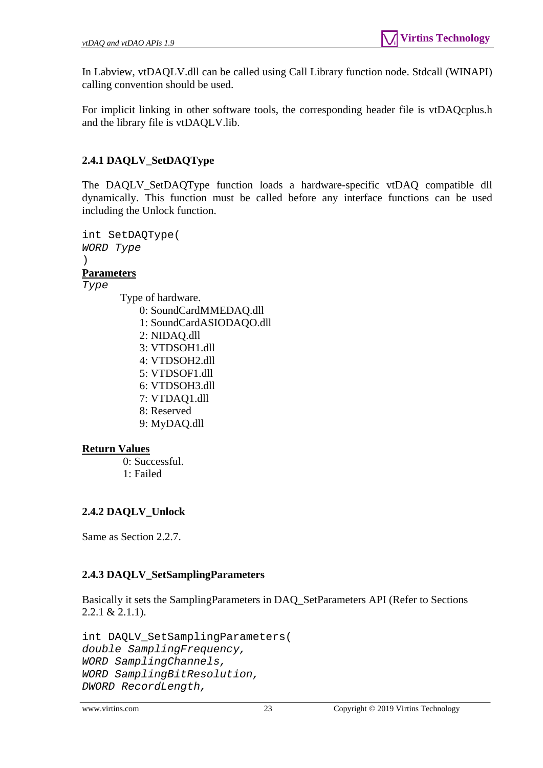In Labview, vtDAQLV.dll can be called using Call Library function node. Stdcall (WINAPI) calling convention should be used.

For implicit linking in other software tools, the corresponding header file is vtDAQcplus.h and the library file is vtDAQLV.lib.

# <span id="page-22-0"></span>**2.4.1 DAQLV\_SetDAQType**

The DAQLV\_SetDAQType function loads a hardware-specific vtDAQ compatible dll dynamically. This function must be called before any interface functions can be used including the Unlock function.

```
int SetDAQType( 
WORD Type
)
```
# **Parameters**

*Type* 

- Type of hardware. 0: SoundCardMMEDAQ.dll 1: SoundCardASIODAQO.dll 2: NIDAQ.dll 3: VTDSOH1.dll 4: VTDSOH2.dll 5: VTDSOF1.dll 6: VTDSOH3.dll 7: VTDAQ1.dll 8: Reserved
	- 9: MyDAQ.dll

# **Return Values**

 0: Successful. 1: Failed

# <span id="page-22-1"></span>**2.4.2 DAQLV\_Unlock**

Same as Section 2.2.7.

# <span id="page-22-2"></span>**2.4.3 DAQLV\_SetSamplingParameters**

Basically it sets the SamplingParameters in DAQ\_SetParameters API (Refer to Sections 2.2.1 & 2.1.1).

```
int DAQLV_SetSamplingParameters( 
double SamplingFrequency, 
WORD SamplingChannels, 
WORD SamplingBitResolution, 
DWORD RecordLength,
```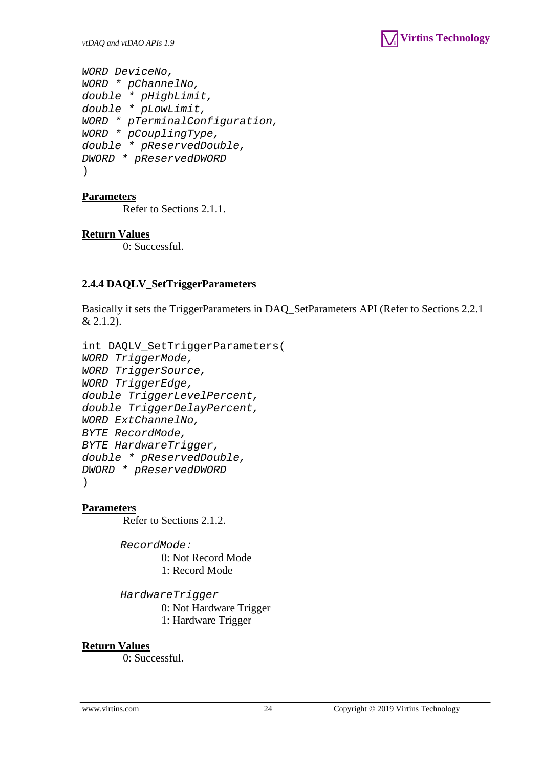*WORD DeviceNo, WORD \* pChannelNo, double \* pHighLimit, double \* pLowLimit, WORD \* pTerminalConfiguration, WORD \* pCouplingType, double \* pReservedDouble, DWORD \* pReservedDWORD*  )

#### **Parameters**

Refer to Sections 2.1.1.

#### **Return Values**

0: Successful.

#### <span id="page-23-0"></span>**2.4.4 DAQLV\_SetTriggerParameters**

Basically it sets the TriggerParameters in DAQ\_SetParameters API (Refer to Sections 2.2.1  $& 2.1.2$ ).

```
int DAQLV_SetTriggerParameters( 
WORD TriggerMode, 
WORD TriggerSource, 
WORD TriggerEdge, 
double TriggerLevelPercent, 
double TriggerDelayPercent, 
WORD ExtChannelNo, 
BYTE RecordMode, 
BYTE HardwareTrigger, 
double * pReservedDouble, 
DWORD * pReservedDWORD 
)
```
#### **Parameters**

Refer to Sections 2.1.2.

*RecordMode:* 0: Not Record Mode 1: Record Mode

*HardwareTrigger* 0: Not Hardware Trigger 1: Hardware Trigger

#### **Return Values**

0: Successful.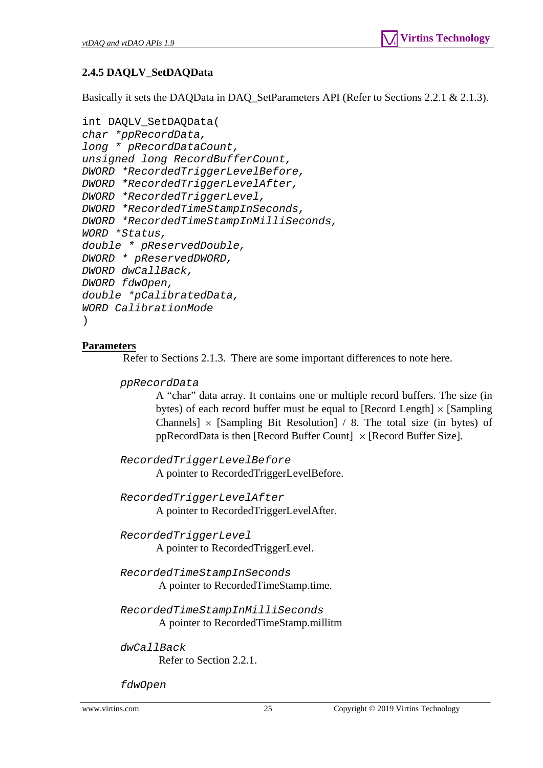# <span id="page-24-0"></span>**2.4.5 DAQLV\_SetDAQData**

Basically it sets the DAQData in DAQ\_SetParameters API (Refer to Sections 2.2.1 & 2.1.3).

```
int DAQLV_SetDAQData( 
char *ppRecordData, 
long * pRecordDataCount, 
unsigned long RecordBufferCount, 
DWORD *RecordedTriggerLevelBefore, 
DWORD *RecordedTriggerLevelAfter, 
DWORD *RecordedTriggerLevel, 
DWORD *RecordedTimeStampInSeconds, 
DWORD *RecordedTimeStampInMilliSeconds, 
WORD *Status, 
double * pReservedDouble, 
DWORD * pReservedDWORD, 
DWORD dwCallBack, 
DWORD fdwOpen, 
double *pCalibratedData, 
WORD CalibrationMode 
)
```
# **Parameters**

Refer to Sections 2.1.3. There are some important differences to note here.

*ppRecordData* 

A "char" data array. It contains one or multiple record buffers. The size (in bytes) of each record buffer must be equal to [Record Length]  $\times$  [Sampling] Channels]  $\times$  [Sampling Bit Resolution] / 8. The total size (in bytes) of ppRecordData is then [Record Buffer Count]  $\times$  [Record Buffer Size].

*RecordedTriggerLevelBefore* A pointer to RecordedTriggerLevelBefore.

*RecordedTriggerLevelAfter* A pointer to RecordedTriggerLevelAfter.

*RecordedTriggerLevel* A pointer to RecordedTriggerLevel.

*RecordedTimeStampInSeconds*  A pointer to RecordedTimeStamp.time.

*RecordedTimeStampInMilliSeconds*  A pointer to RecordedTimeStamp.millitm

*dwCallBack*

Refer to Section 2.2.1.

*fdwOpen*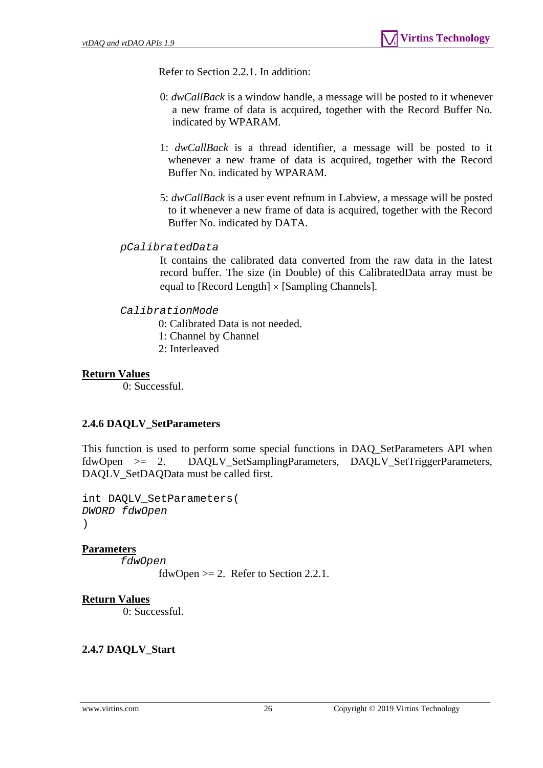Refer to Section 2.2.1. In addition:

- 0: *dwCallBack* is a window handle, a message will be posted to it whenever a new frame of data is acquired, together with the Record Buffer No. indicated by WPARAM.
- 1: *dwCallBack* is a thread identifier, a message will be posted to it whenever a new frame of data is acquired, together with the Record Buffer No. indicated by WPARAM.
- 5: *dwCallBack* is a user event refnum in Labview, a message will be posted to it whenever a new frame of data is acquired, together with the Record Buffer No. indicated by DATA.

#### *pCalibratedData*

It contains the calibrated data converted from the raw data in the latest record buffer. The size (in Double) of this CalibratedData array must be equal to [Record Length]  $\times$  [Sampling Channels].

#### *CalibrationMode*

- 0: Calibrated Data is not needed.
- 1: Channel by Channel
- 2: Interleaved

#### **Return Values**

0: Successful.

#### <span id="page-25-0"></span>**2.4.6 DAQLV\_SetParameters**

This function is used to perform some special functions in DAQ\_SetParameters API when fdwOpen >= 2. DAQLV\_SetSamplingParameters, DAQLV\_SetTriggerParameters, DAQLV\_SetDAQData must be called first.

int DAQLV\_SetParameters( *DWORD fdwOpen*   $\lambda$ 

#### **Parameters**

*fdwOpen* 

fdwOpen  $>= 2$ . Refer to Section 2.2.1.

#### **Return Values**

0: Successful.

#### <span id="page-25-1"></span>**2.4.7 DAQLV\_Start**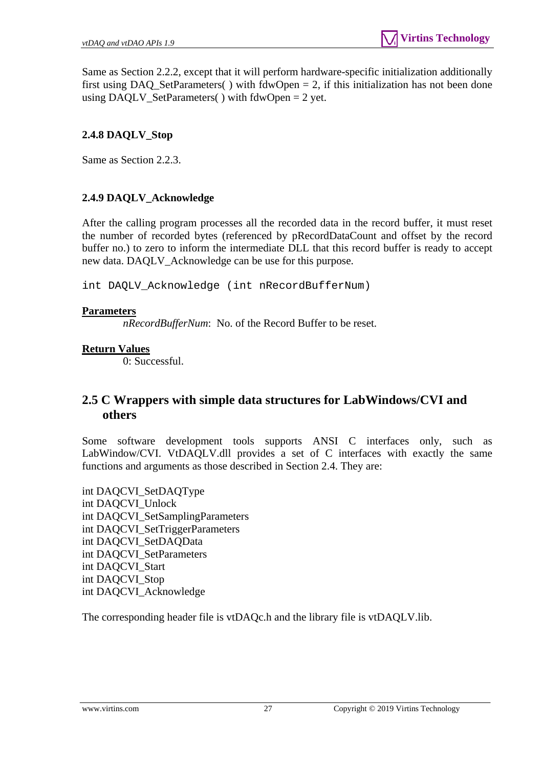Same as Section 2.2.2, except that it will perform hardware-specific initialization additionally first using DAQ\_SetParameters() with  $fdwOpen = 2$ , if this initialization has not been done using DAQLV\_SetParameters( $\cdot$ ) with fdwOpen = 2 yet.

# <span id="page-26-0"></span>**2.4.8 DAQLV\_Stop**

Same as Section 2.2.3.

# <span id="page-26-1"></span>**2.4.9 DAQLV\_Acknowledge**

After the calling program processes all the recorded data in the record buffer, it must reset the number of recorded bytes (referenced by pRecordDataCount and offset by the record buffer no.) to zero to inform the intermediate DLL that this record buffer is ready to accept new data. DAQLV\_Acknowledge can be use for this purpose.

int DAQLV\_Acknowledge (int nRecordBufferNum)

## **Parameters**

*nRecordBufferNum*: No. of the Record Buffer to be reset.

# **Return Values**

0: Successful.

# <span id="page-26-2"></span>**2.5 C Wrappers with simple data structures for LabWindows/CVI and others**

Some software development tools supports ANSI C interfaces only, such as LabWindow/CVI. VtDAQLV.dll provides a set of C interfaces with exactly the same functions and arguments as those described in Section 2.4. They are:

int DAQCVI\_SetDAQType int DAQCVI\_Unlock int DAQCVI\_SetSamplingParameters int DAQCVI\_SetTriggerParameters int DAQCVI\_SetDAQData int DAQCVI\_SetParameters int DAQCVI\_Start int DAQCVI\_Stop int DAQCVI\_Acknowledge

The corresponding header file is vtDAQc.h and the library file is vtDAQLV.lib.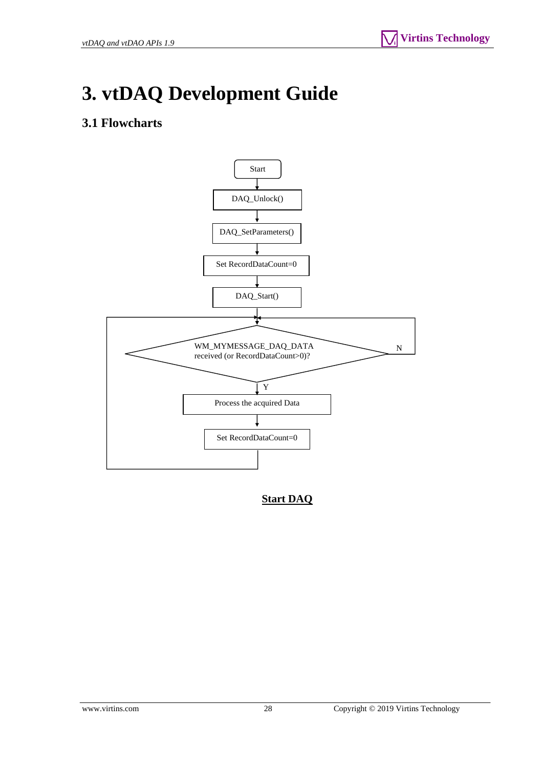# <span id="page-27-0"></span>**3. vtDAQ Development Guide**

# <span id="page-27-1"></span>**3.1 Flowcharts**



**Start DAQ**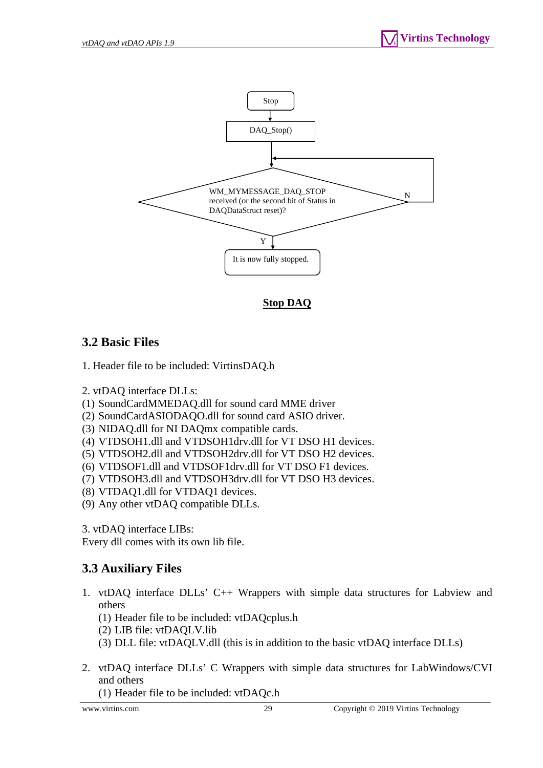

**Stop DAQ**

# <span id="page-28-0"></span>**3.2 Basic Files**

1. Header file to be included: VirtinsDAQ.h

- 2. vtDAQ interface DLLs:
- (1) SoundCardMMEDAQ.dll for sound card MME driver
- (2) SoundCardASIODAQO.dll for sound card ASIO driver.
- (3) NIDAQ.dll for NI DAQmx compatible cards.
- (4) VTDSOH1.dll and VTDSOH1drv.dll for VT DSO H1 devices.
- (5) VTDSOH2.dll and VTDSOH2drv.dll for VT DSO H2 devices.
- (6) VTDSOF1.dll and VTDSOF1drv.dll for VT DSO F1 devices.
- (7) VTDSOH3.dll and VTDSOH3drv.dll for VT DSO H3 devices.
- (8) VTDAQ1.dll for VTDAQ1 devices.
- (9) Any other vtDAQ compatible DLLs.

3. vtDAQ interface LIBs:

Every dll comes with its own lib file.

# <span id="page-28-1"></span>**3.3 Auxiliary Files**

- 1. vtDAQ interface DLLs' C++ Wrappers with simple data structures for Labview and others
	- (1) Header file to be included: vtDAQcplus.h
	- (2) LIB file: vtDAQLV.lib
	- (3) DLL file: vtDAQLV.dll (this is in addition to the basic vtDAQ interface DLLs)
- 2. vtDAQ interface DLLs' C Wrappers with simple data structures for LabWindows/CVI and others

(1) Header file to be included: vtDAQc.h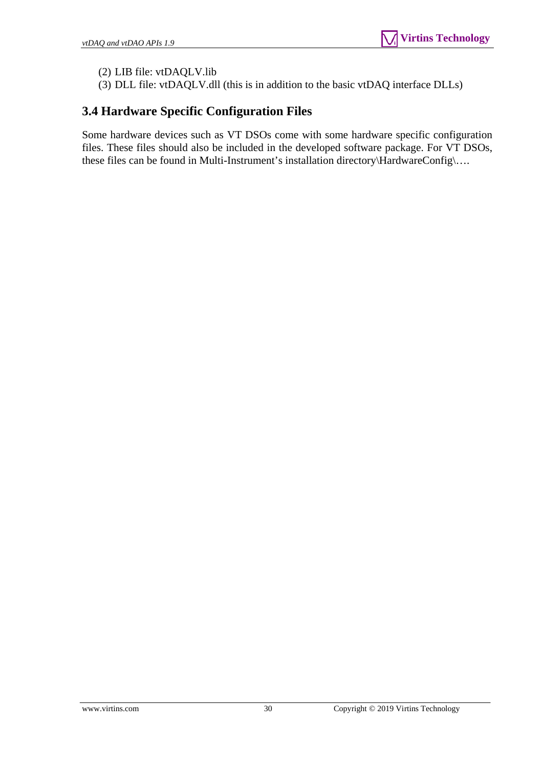(2) LIB file: vtDAQLV.lib

(3) DLL file: vtDAQLV.dll (this is in addition to the basic vtDAQ interface DLLs)

# <span id="page-29-0"></span>**3.4 Hardware Specific Configuration Files**

Some hardware devices such as VT DSOs come with some hardware specific configuration files. These files should also be included in the developed software package. For VT DSOs, these files can be found in Multi-Instrument's installation directory\HardwareConfig\….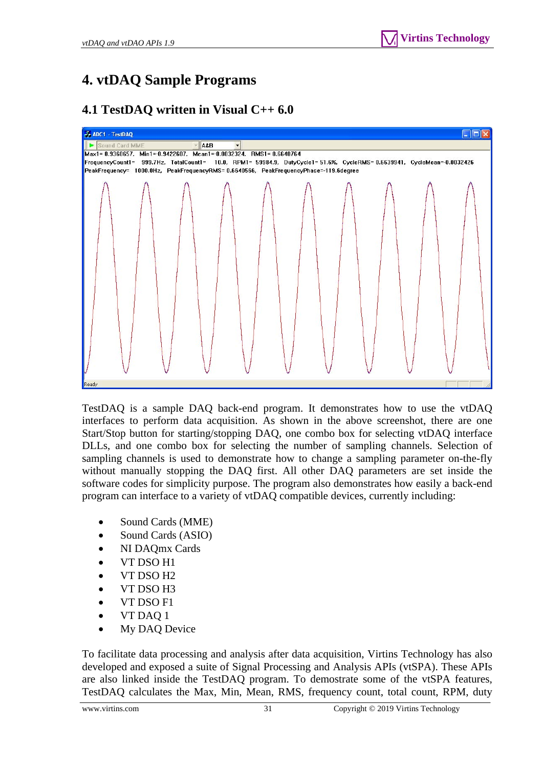# <span id="page-30-0"></span>**4. vtDAQ Sample Programs**

# **4.1 TestDAQ written in Visual C++ 6.0**

<span id="page-30-1"></span>

TestDAQ is a sample DAQ back-end program. It demonstrates how to use the vtDAQ interfaces to perform data acquisition. As shown in the above screenshot, there are one Start/Stop button for starting/stopping DAQ, one combo box for selecting vtDAQ interface DLLs, and one combo box for selecting the number of sampling channels. Selection of sampling channels is used to demonstrate how to change a sampling parameter on-the-fly without manually stopping the DAQ first. All other DAQ parameters are set inside the software codes for simplicity purpose. The program also demonstrates how easily a back-end program can interface to a variety of vtDAQ compatible devices, currently including:

- Sound Cards (MME)
- Sound Cards (ASIO)
- NI DAQmx Cards
- VT DSO H1
- VT DSO H2
- VT DSO H3
- VT DSO F1
- VT DAQ 1
- My DAQ Device

To facilitate data processing and analysis after data acquisition, Virtins Technology has also developed and exposed a suite of Signal Processing and Analysis APIs (vtSPA). These APIs are also linked inside the TestDAQ program. To demostrate some of the vtSPA features, TestDAQ calculates the Max, Min, Mean, RMS, frequency count, total count, RPM, duty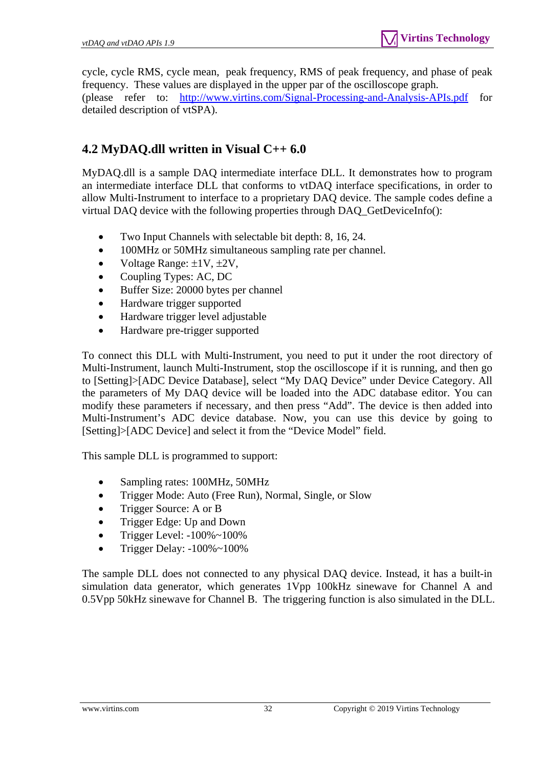cycle, cycle RMS, cycle mean, peak frequency, RMS of peak frequency, and phase of peak frequency. These values are displayed in the upper par of the oscilloscope graph. (please refer to: <http://www.virtins.com/Signal-Processing-and-Analysis-APIs.pdf> for detailed description of vtSPA).

# <span id="page-31-0"></span>**4.2 MyDAQ.dll written in Visual C++ 6.0**

MyDAQ.dll is a sample DAQ intermediate interface DLL. It demonstrates how to program an intermediate interface DLL that conforms to vtDAQ interface specifications, in order to allow Multi-Instrument to interface to a proprietary DAQ device. The sample codes define a virtual DAQ device with the following properties through DAQ\_GetDeviceInfo():

- Two Input Channels with selectable bit depth: 8, 16, 24.
- 100MHz or 50MHz simultaneous sampling rate per channel.
- Voltage Range:  $\pm 1V$ ,  $\pm 2V$ ,
- Coupling Types: AC, DC
- Buffer Size: 20000 bytes per channel
- Hardware trigger supported
- Hardware trigger level adjustable
- Hardware pre-trigger supported

To connect this DLL with Multi-Instrument, you need to put it under the root directory of Multi-Instrument, launch Multi-Instrument, stop the oscilloscope if it is running, and then go to [Setting]>[ADC Device Database], select "My DAQ Device" under Device Category. All the parameters of My DAQ device will be loaded into the ADC database editor. You can modify these parameters if necessary, and then press "Add". The device is then added into Multi-Instrument's ADC device database. Now, you can use this device by going to [Setting]>[ADC Device] and select it from the "Device Model" field.

This sample DLL is programmed to support:

- Sampling rates: 100MHz, 50MHz
- Trigger Mode: Auto (Free Run), Normal, Single, or Slow
- Trigger Source: A or B
- Trigger Edge: Up and Down
- Trigger Level: -100%~100%
- Trigger Delay: -100%~100%

The sample DLL does not connected to any physical DAQ device. Instead, it has a built-in simulation data generator, which generates 1Vpp 100kHz sinewave for Channel A and 0.5Vpp 50kHz sinewave for Channel B. The triggering function is also simulated in the DLL.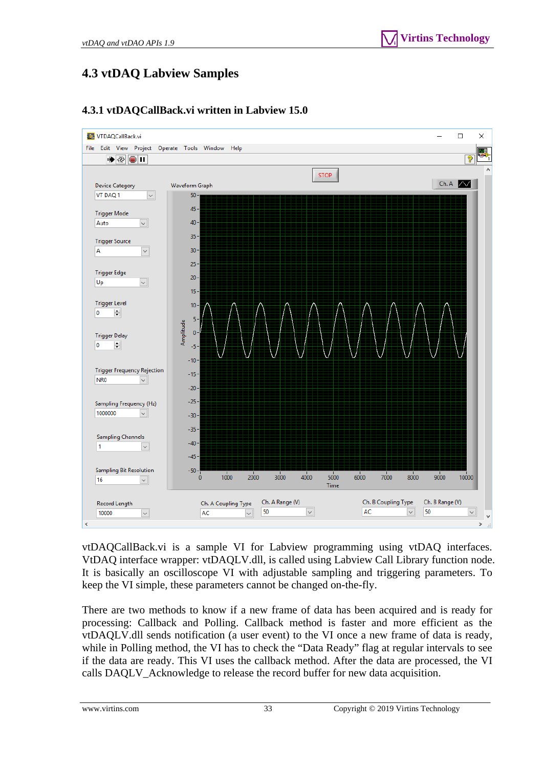# <span id="page-32-0"></span>**4.3 vtDAQ Labview Samples**

<span id="page-32-1"></span>

# **4.3.1 vtDAQCallBack.vi written in Labview 15.0**

vtDAQCallBack.vi is a sample VI for Labview programming using vtDAQ interfaces. VtDAQ interface wrapper: vtDAQLV.dll, is called using Labview Call Library function node. It is basically an oscilloscope VI with adjustable sampling and triggering parameters. To keep the VI simple, these parameters cannot be changed on-the-fly.

There are two methods to know if a new frame of data has been acquired and is ready for processing: Callback and Polling. Callback method is faster and more efficient as the vtDAQLV.dll sends notification (a user event) to the VI once a new frame of data is ready, while in Polling method, the VI has to check the "Data Ready" flag at regular intervals to see if the data are ready. This VI uses the callback method. After the data are processed, the VI calls DAQLV\_Acknowledge to release the record buffer for new data acquisition.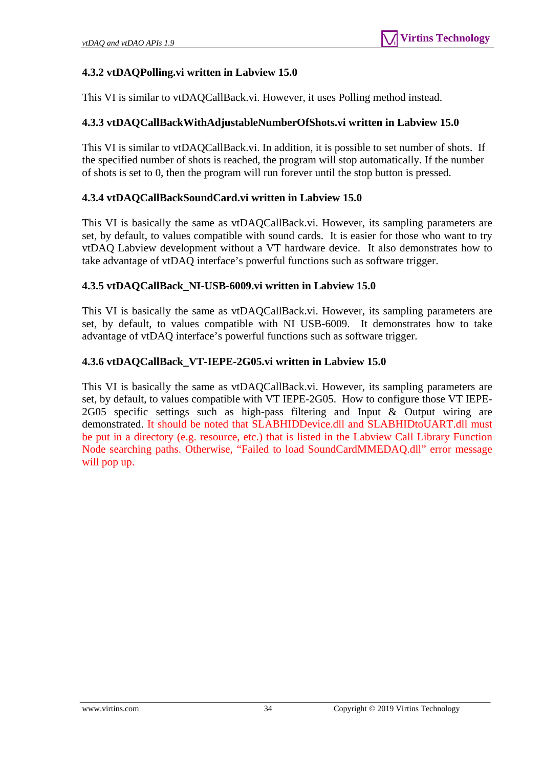# <span id="page-33-0"></span>**4.3.2 vtDAQPolling.vi written in Labview 15.0**

This VI is similar to vtDAQCallBack.vi. However, it uses Polling method instead.

# <span id="page-33-1"></span>**4.3.3 vtDAQCallBackWithAdjustableNumberOfShots.vi written in Labview 15.0**

This VI is similar to vtDAQCallBack.vi. In addition, it is possible to set number of shots. If the specified number of shots is reached, the program will stop automatically. If the number of shots is set to 0, then the program will run forever until the stop button is pressed.

# <span id="page-33-2"></span>**4.3.4 vtDAQCallBackSoundCard.vi written in Labview 15.0**

This VI is basically the same as vtDAQCallBack.vi. However, its sampling parameters are set, by default, to values compatible with sound cards. It is easier for those who want to try vtDAQ Labview development without a VT hardware device. It also demonstrates how to take advantage of vtDAQ interface's powerful functions such as software trigger.

## <span id="page-33-3"></span>**4.3.5 vtDAQCallBack\_NI-USB-6009.vi written in Labview 15.0**

This VI is basically the same as vtDAQCallBack.vi. However, its sampling parameters are set, by default, to values compatible with NI USB-6009. It demonstrates how to take advantage of vtDAQ interface's powerful functions such as software trigger.

# <span id="page-33-4"></span>**4.3.6 vtDAQCallBack\_VT-IEPE-2G05.vi written in Labview 15.0**

This VI is basically the same as vtDAQCallBack.vi. However, its sampling parameters are set, by default, to values compatible with VT IEPE-2G05. How to configure those VT IEPE-2G05 specific settings such as high-pass filtering and Input & Output wiring are demonstrated. It should be noted that SLABHIDDevice.dll and SLABHIDtoUART.dll must be put in a directory (e.g. resource, etc.) that is listed in the Labview Call Library Function Node searching paths. Otherwise, "Failed to load SoundCardMMEDAQ.dll" error message will pop up.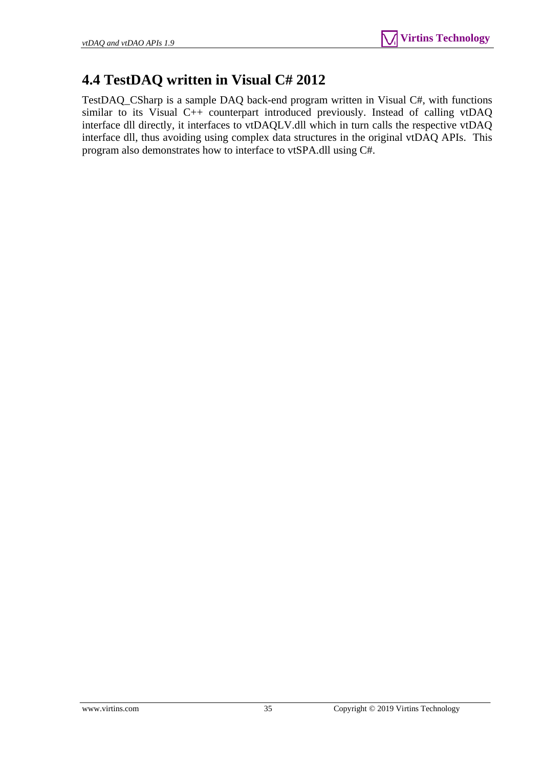# <span id="page-34-0"></span>**4.4 TestDAQ written in Visual C# 2012**

TestDAQ\_CSharp is a sample DAQ back-end program written in Visual C#, with functions similar to its Visual C++ counterpart introduced previously. Instead of calling vtDAQ interface dll directly, it interfaces to vtDAQLV.dll which in turn calls the respective vtDAQ interface dll, thus avoiding using complex data structures in the original vtDAQ APIs. This program also demonstrates how to interface to vtSPA.dll using C#.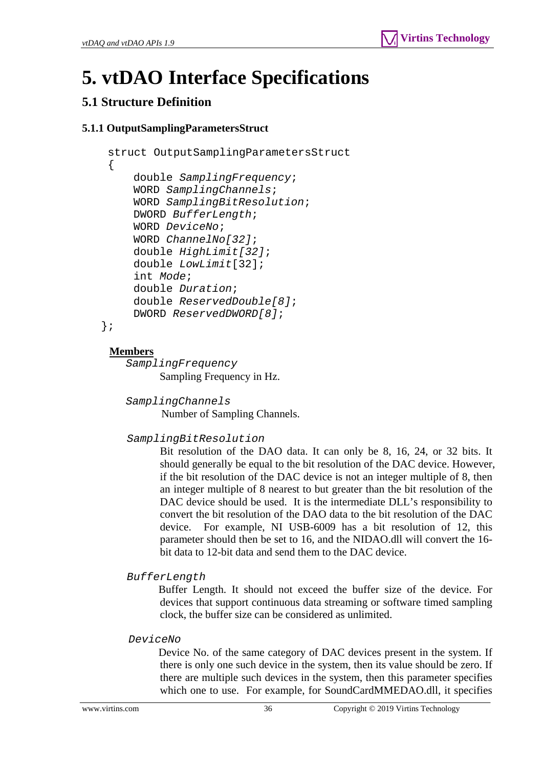# <span id="page-35-0"></span>**5. vtDAO Interface Specifications**

# <span id="page-35-1"></span>**5.1 Structure Definition**

# <span id="page-35-2"></span>**5.1.1 OutputSamplingParametersStruct**

```
 struct OutputSamplingParametersStruct 
\{ double SamplingFrequency; 
     WORD SamplingChannels; 
     WORD SamplingBitResolution; 
     DWORD BufferLength; 
     WORD DeviceNo; 
     WORD ChannelNo[32]; 
     double HighLimit[32]; 
     double LowLimit[32]; 
     int Mode; 
     double Duration; 
     double ReservedDouble[8]; 
     DWORD ReservedDWORD[8];
```

```
};
```
# **Members**

 *SamplingFrequency*  Sampling Frequency in Hz.

*SamplingChannels* 

Number of Sampling Channels.

# *SamplingBitResolution*

Bit resolution of the DAO data. It can only be 8, 16, 24, or 32 bits. It should generally be equal to the bit resolution of the DAC device. However, if the bit resolution of the DAC device is not an integer multiple of 8, then an integer multiple of 8 nearest to but greater than the bit resolution of the DAC device should be used. It is the intermediate DLL's responsibility to convert the bit resolution of the DAO data to the bit resolution of the DAC device. For example, NI USB-6009 has a bit resolution of 12, this parameter should then be set to 16, and the NIDAO.dll will convert the 16 bit data to 12-bit data and send them to the DAC device.

```
 BufferLength
```
 Buffer Length. It should not exceed the buffer size of the device. For devices that support continuous data streaming or software timed sampling clock, the buffer size can be considered as unlimited.

#### *DeviceNo*

 Device No. of the same category of DAC devices present in the system. If there is only one such device in the system, then its value should be zero. If there are multiple such devices in the system, then this parameter specifies which one to use. For example, for SoundCardMMEDAO.dll, it specifies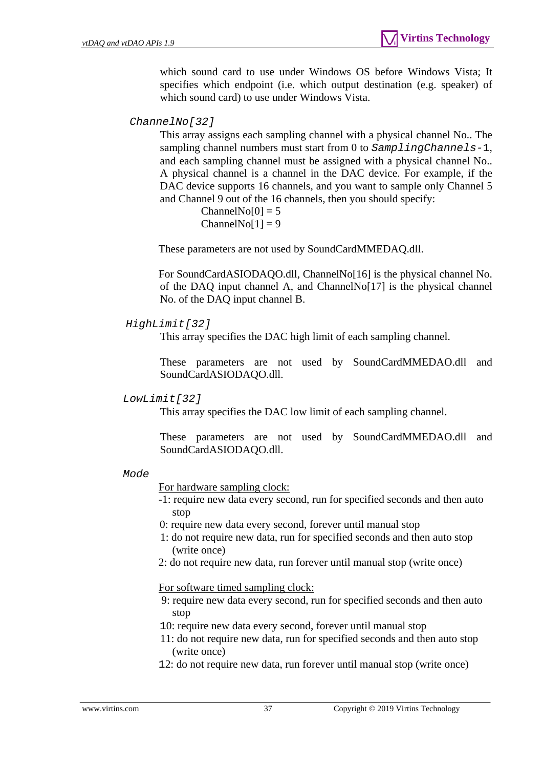which sound card to use under Windows OS before Windows Vista; It specifies which endpoint (i.e. which output destination (e.g. speaker) of which sound card) to use under Windows Vista.

#### *ChannelNo[32]*

This array assigns each sampling channel with a physical channel No.. The sampling channel numbers must start from 0 to *SamplingChannels-*1, and each sampling channel must be assigned with a physical channel No.. A physical channel is a channel in the DAC device. For example, if the DAC device supports 16 channels, and you want to sample only Channel 5 and Channel 9 out of the 16 channels, then you should specify:

> $ChannelNo[0] = 5$  $ChannelNo[1] = 9$

These parameters are not used by SoundCardMMEDAQ.dll.

For SoundCardASIODAQO.dll, ChannelNo[16] is the physical channel No. of the DAQ input channel A, and ChannelNo[17] is the physical channel No. of the DAQ input channel B.

#### *HighLimit[32]*

This array specifies the DAC high limit of each sampling channel.

These parameters are not used by SoundCardMMEDAO.dll and SoundCardASIODAQO.dll.

#### *LowLimit[32]*

This array specifies the DAC low limit of each sampling channel.

These parameters are not used by SoundCardMMEDAO.dll and SoundCardASIODAQO.dll.

#### *Mode*

For hardware sampling clock:

- -1: require new data every second, run for specified seconds and then auto stop
- 0: require new data every second, forever until manual stop
- 1: do not require new data, run for specified seconds and then auto stop (write once)
- 2: do not require new data, run forever until manual stop (write once)

For software timed sampling clock:

- 9: require new data every second, run for specified seconds and then auto stop
- 10: require new data every second, forever until manual stop
- 11: do not require new data, run for specified seconds and then auto stop (write once)
- 12: do not require new data, run forever until manual stop (write once)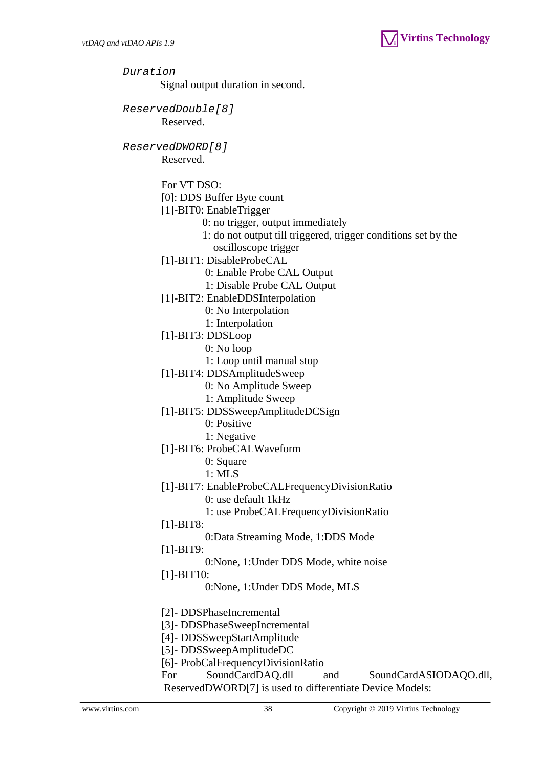*Duration*  Signal output duration in second. *ReservedDouble[8]*  Reserved. *ReservedDWORD[8]*  Reserved. For VT DSO: [0]: DDS Buffer Byte count [1]-BIT0: EnableTrigger 0: no trigger, output immediately 1: do not output till triggered, trigger conditions set by the oscilloscope trigger [1]-BIT1: DisableProbeCAL 0: Enable Probe CAL Output 1: Disable Probe CAL Output [1]-BIT2: EnableDDSInterpolation 0: No Interpolation 1: Interpolation [1]-BIT3: DDSLoop 0: No loop 1: Loop until manual stop [1]-BIT4: DDSAmplitudeSweep 0: No Amplitude Sweep 1: Amplitude Sweep [1]-BIT5: DDSSweepAmplitudeDCSign 0: Positive 1: Negative [1]-BIT6: ProbeCALWaveform 0: Square 1: MLS [1]-BIT7: EnableProbeCALFrequencyDivisionRatio 0: use default 1kHz 1: use ProbeCALFrequencyDivisionRatio [1]-BIT8: 0:Data Streaming Mode, 1:DDS Mode [1]-BIT9: 0:None, 1:Under DDS Mode, white noise [1]-BIT10: 0:None, 1:Under DDS Mode, MLS [2]- DDSPhaseIncremental [3]- DDSPhaseSweepIncremental [4]- DDSSweepStartAmplitude [5]- DDSSweepAmplitudeDC [6]- ProbCalFrequencyDivisionRatio For SoundCardDAQ.dll and SoundCardASIODAQO.dll, ReservedDWORD[7] is used to differentiate Device Models: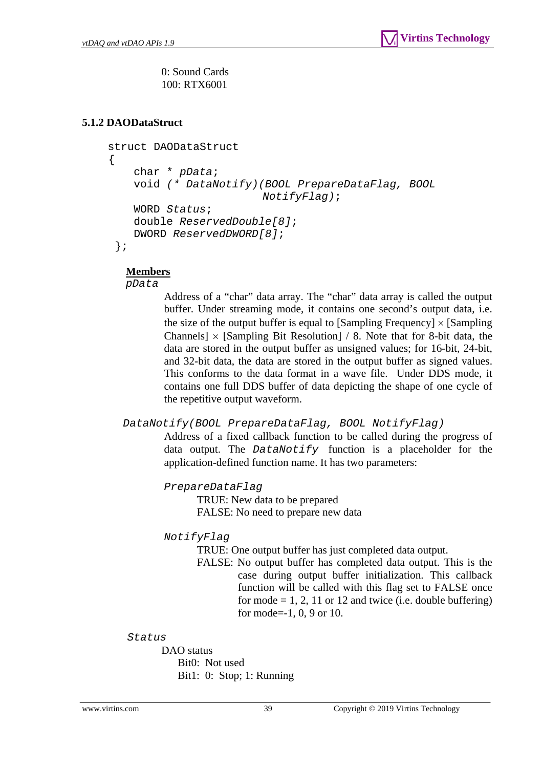0: Sound Cards 100: RTX6001

# <span id="page-38-0"></span>**5.1.2 DAODataStruct**

```
 struct DAODataStruct 
 { 
     char * pData; 
     void (* DataNotify)(BOOL PrepareDataFlag, BOOL 
                          NotifyFlag); 
     WORD Status; 
     double ReservedDouble[8]; 
     DWORD ReservedDWORD[8];
  };
```
#### **Members**

*pData* 

Address of a "char" data array. The "char" data array is called the output buffer. Under streaming mode, it contains one second's output data, i.e. the size of the output buffer is equal to [Sampling Frequency]  $\times$  [Sampling Channels]  $\times$  [Sampling Bit Resolution] / 8. Note that for 8-bit data, the data are stored in the output buffer as unsigned values; for 16-bit, 24-bit, and 32-bit data, the data are stored in the output buffer as signed values. This conforms to the data format in a wave file. Under DDS mode, it contains one full DDS buffer of data depicting the shape of one cycle of the repetitive output waveform.

*DataNotify(BOOL PrepareDataFlag, BOOL NotifyFlag)*

 Address of a fixed callback function to be called during the progress of data output. The *DataNotify* function is a placeholder for the application-defined function name. It has two parameters:

*PrepareDataFlag*

 TRUE: New data to be prepared FALSE: No need to prepare new data

#### *NotifyFlag*

TRUE: One output buffer has just completed data output.

 FALSE: No output buffer has completed data output. This is the case during output buffer initialization. This callback function will be called with this flag set to FALSE once for mode  $= 1, 2, 11$  or 12 and twice (i.e. double buffering) for mode=-1, 0, 9 or 10.

*Status* 

 DAO status Bit0: Not used Bit1: 0: Stop; 1: Running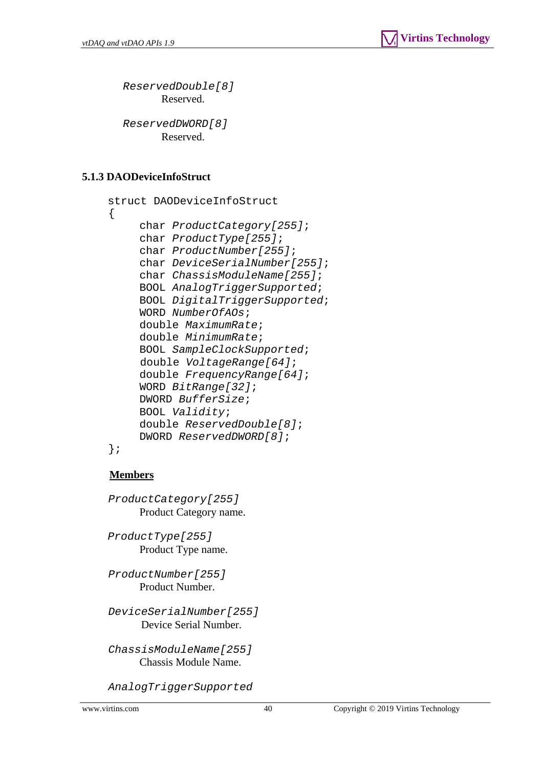*ReservedDouble[8]*  Reserved.

*ReservedDWORD[8]*  Reserved.

# <span id="page-39-0"></span>**5.1.3 DAODeviceInfoStruct**

```
 struct DAODeviceInfoStruct 
 { 
      char ProductCategory[255]; 
      char ProductType[255]; 
      char ProductNumber[255]; 
      char DeviceSerialNumber[255]; 
      char ChassisModuleName[255]; 
      BOOL AnalogTriggerSupported; 
      BOOL DigitalTriggerSupported; 
      WORD NumberOfAOs; 
      double MaximumRate; 
      double MinimumRate; 
      BOOL SampleClockSupported; 
      double VoltageRange[64]; 
      double FrequencyRange[64]; 
      WORD BitRange[32]; 
      DWORD BufferSize; 
      BOOL Validity; 
      double ReservedDouble[8]; 
      DWORD ReservedDWORD[8];
```
};

# **Members**

 *ProductCategory[255]*  Product Category name.

*ProductType[255]*  Product Type name.

 *ProductNumber[255]*  Product Number.

 *DeviceSerialNumber[255]*  Device Serial Number.

 *ChassisModuleName[255]*  Chassis Module Name.

 *AnalogTriggerSupported*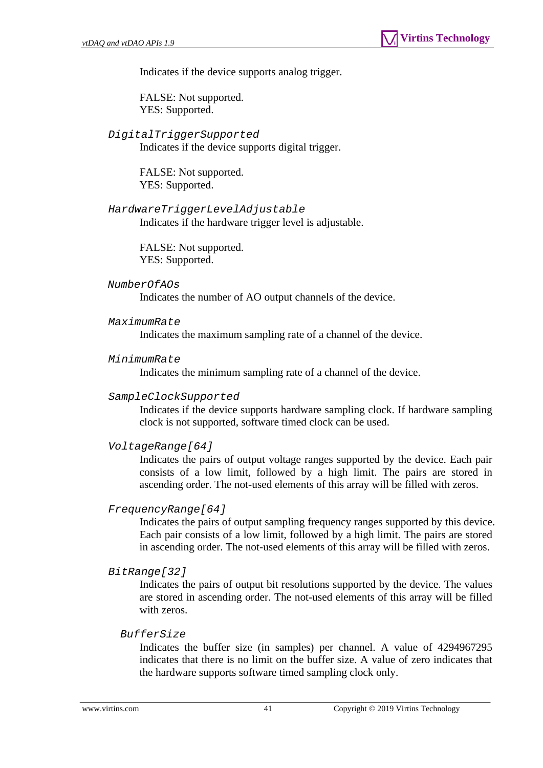Indicates if the device supports analog trigger.

FALSE: Not supported. YES: Supported.

# *DigitalTriggerSupported*

Indicates if the device supports digital trigger.

FALSE: Not supported. YES: Supported.

 *HardwareTriggerLevelAdjustable*  Indicates if the hardware trigger level is adjustable.

> FALSE: Not supported. YES: Supported.

#### *NumberOfAOs*

Indicates the number of AO output channels of the device.

#### *MaximumRate*

Indicates the maximum sampling rate of a channel of the device.

#### *MinimumRate*

Indicates the minimum sampling rate of a channel of the device.

#### *SampleClockSupported*

Indicates if the device supports hardware sampling clock. If hardware sampling clock is not supported, software timed clock can be used.

#### *VoltageRange[64]*

Indicates the pairs of output voltage ranges supported by the device. Each pair consists of a low limit, followed by a high limit. The pairs are stored in ascending order. The not-used elements of this array will be filled with zeros.

#### *FrequencyRange[64]*

Indicates the pairs of output sampling frequency ranges supported by this device. Each pair consists of a low limit, followed by a high limit. The pairs are stored in ascending order. The not-used elements of this array will be filled with zeros.

#### *BitRange[32]*

Indicates the pairs of output bit resolutions supported by the device. The values are stored in ascending order. The not-used elements of this array will be filled with zeros.

#### *BufferSize*

Indicates the buffer size (in samples) per channel. A value of 4294967295 indicates that there is no limit on the buffer size. A value of zero indicates that the hardware supports software timed sampling clock only.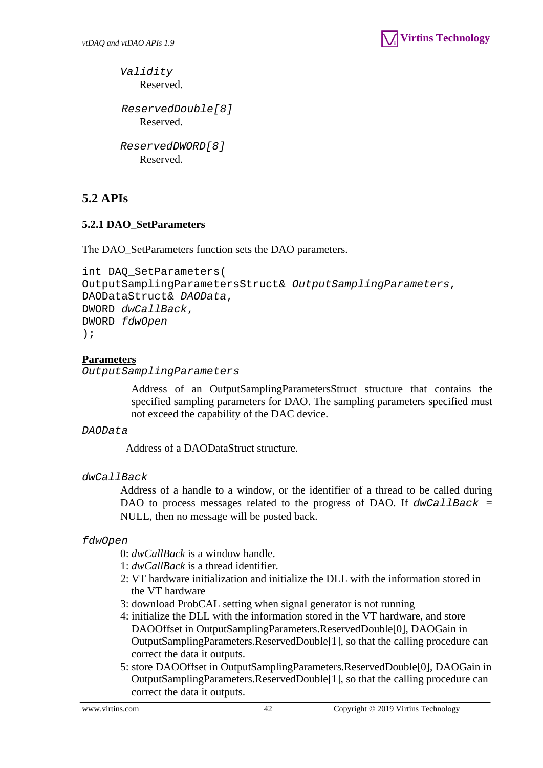*Validity*  Reserved.

 *ReservedDouble[8]*  Reserved.

```
ReservedDWORD[8] 
    Reserved.
```
# <span id="page-41-0"></span>**5.2 APIs**

# <span id="page-41-1"></span>**5.2.1 DAO\_SetParameters**

The DAO\_SetParameters function sets the DAO parameters.

```
int DAQ_SetParameters( 
OutputSamplingParametersStruct& OutputSamplingParameters, 
DAODataStruct& DAOData, 
DWORD dwCallBack, 
DWORD fdwOpen 
);
```
# **Parameters**

*OutputSamplingParameters* 

 Address of an OutputSamplingParametersStruct structure that contains the specified sampling parameters for DAO. The sampling parameters specified must not exceed the capability of the DAC device.

#### *DAOData*

Address of a DAODataStruct structure.

*dwCallBack*

Address of a handle to a window, or the identifier of a thread to be called during DAO to process messages related to the progress of DAO. If *dwCallBack* = NULL, then no message will be posted back.

#### *fdwOpen*

- 0: *dwCallBack* is a window handle.
- 1: *dwCallBack* is a thread identifier.
- 2: VT hardware initialization and initialize the DLL with the information stored in the VT hardware
- 3: download ProbCAL setting when signal generator is not running
- 4: initialize the DLL with the information stored in the VT hardware, and store DAOOffset in OutputSamplingParameters.ReservedDouble[0], DAOGain in OutputSamplingParameters.ReservedDouble[1], so that the calling procedure can correct the data it outputs.
- 5: store DAOOffset in OutputSamplingParameters.ReservedDouble[0], DAOGain in OutputSamplingParameters.ReservedDouble[1], so that the calling procedure can correct the data it outputs.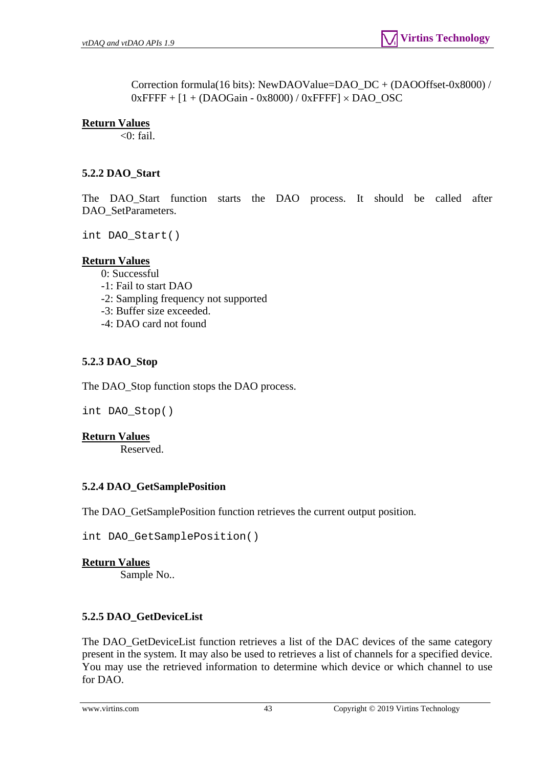Correction formula(16 bits): NewDAOValue=DAO\_DC + (DAOOffset-0x8000) /  $0x$ FFFF +  $[1 + (DAOGain - 0x8000) / 0x$ FFFF $] \times$ DAO\_OSC

### **Return Values**

 $<$ 0: fail.

# <span id="page-42-0"></span>**5.2.2 DAO\_Start**

The DAO\_Start function starts the DAO process. It should be called after DAO\_SetParameters.

int DAO\_Start()

## **Return Values**

0: Successful

- -1: Fail to start DAO
- -2: Sampling frequency not supported
- -3: Buffer size exceeded.
- -4: DAO card not found

# <span id="page-42-1"></span>**5.2.3 DAO\_Stop**

The DAO\_Stop function stops the DAO process.

int DAO\_Stop()

#### **Return Values**

Reserved.

#### <span id="page-42-2"></span>**5.2.4 DAO\_GetSamplePosition**

The DAO\_GetSamplePosition function retrieves the current output position.

int DAO\_GetSamplePosition()

#### **Return Values**

Sample No..

# <span id="page-42-3"></span>**5.2.5 DAO\_GetDeviceList**

The DAO\_GetDeviceList function retrieves a list of the DAC devices of the same category present in the system. It may also be used to retrieves a list of channels for a specified device. You may use the retrieved information to determine which device or which channel to use for DAO.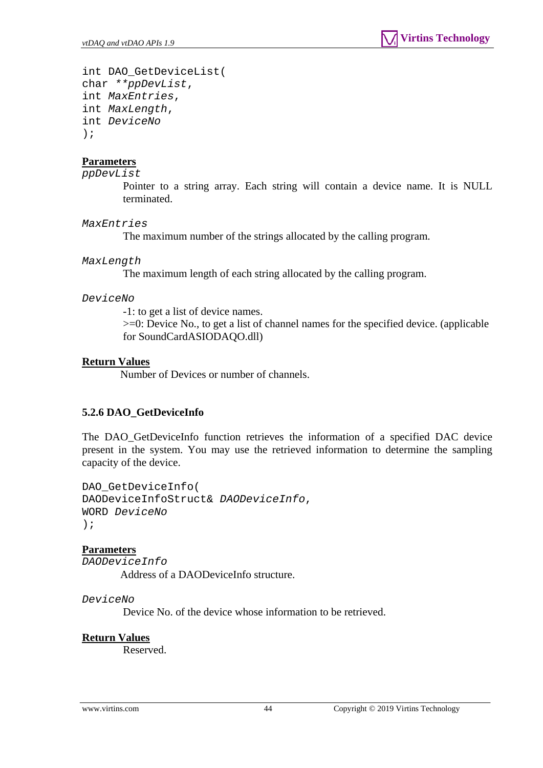```
int DAO_GetDeviceList( 
char **ppDevList, 
int MaxEntries, 
int MaxLength, 
int DeviceNo
);
```
*ppDevList* 

Pointer to a string array. Each string will contain a device name. It is NULL terminated.

#### *MaxEntries*

The maximum number of the strings allocated by the calling program.

#### *MaxLength*

The maximum length of each string allocated by the calling program.

#### *DeviceNo*

-1: to get a list of device names. >=0: Device No., to get a list of channel names for the specified device. (applicable for SoundCardASIODAQO.dll)

#### **Return Values**

Number of Devices or number of channels.

#### <span id="page-43-0"></span>**5.2.6 DAO\_GetDeviceInfo**

The DAO\_GetDeviceInfo function retrieves the information of a specified DAC device present in the system. You may use the retrieved information to determine the sampling capacity of the device.

DAO\_GetDeviceInfo( DAODeviceInfoStruct& *DAODeviceInfo*, WORD *DeviceNo* );

#### **Parameters**

*DAODeviceInfo* 

Address of a DAODeviceInfo structure.

*DeviceNo* 

Device No. of the device whose information to be retrieved.

#### **Return Values**

Reserved.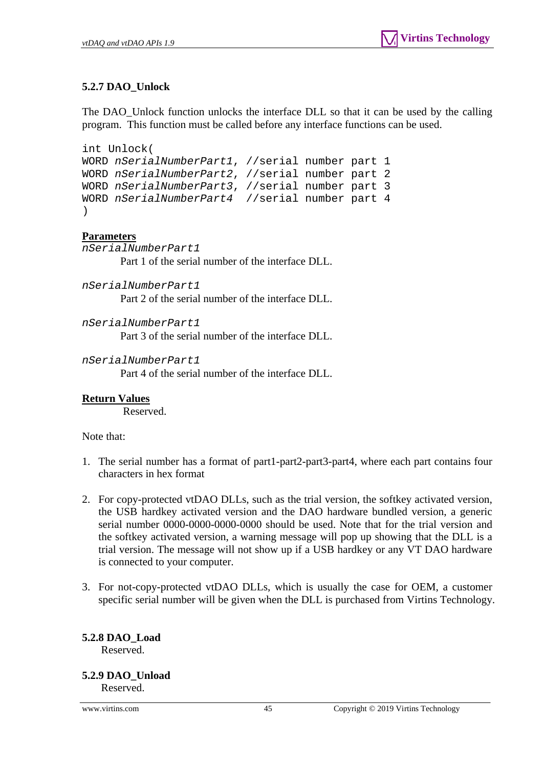# **5.2.7 DAO\_Unlock**

<span id="page-44-0"></span>The DAO\_Unlock function unlocks the interface DLL so that it can be used by the calling program. This function must be called before any interface functions can be used.

```
int Unlock( 
WORD nSerialNumberPart1, //serial number part 1 
WORD nSerialNumberPart2, //serial number part 2 
WORD nSerialNumberPart3, //serial number part 3 
WORD nSerialNumberPart4 //serial number part 4 
)
```
# **Parameters**

*nSerialNumberPart1*  Part 1 of the serial number of the interface DLL.

*nSerialNumberPart1*  Part 2 of the serial number of the interface DLL.

*nSerialNumberPart1* 

Part 3 of the serial number of the interface DLL.

*nSerialNumberPart1* 

Part 4 of the serial number of the interface DLL.

# **Return Values**

Reserved.

Note that:

- 1. The serial number has a format of part1-part2-part3-part4, where each part contains four characters in hex format
- 2. For copy-protected vtDAO DLLs, such as the trial version, the softkey activated version, the USB hardkey activated version and the DAO hardware bundled version, a generic serial number 0000-0000-0000-0000 should be used. Note that for the trial version and the softkey activated version, a warning message will pop up showing that the DLL is a trial version. The message will not show up if a USB hardkey or any VT DAO hardware is connected to your computer.
- 3. For not-copy-protected vtDAO DLLs, which is usually the case for OEM, a customer specific serial number will be given when the DLL is purchased from Virtins Technology.

<span id="page-44-1"></span>**5.2.8 DAO\_Load**  Reserved.

# <span id="page-44-2"></span>**5.2.9 DAO\_Unload**

Reserved.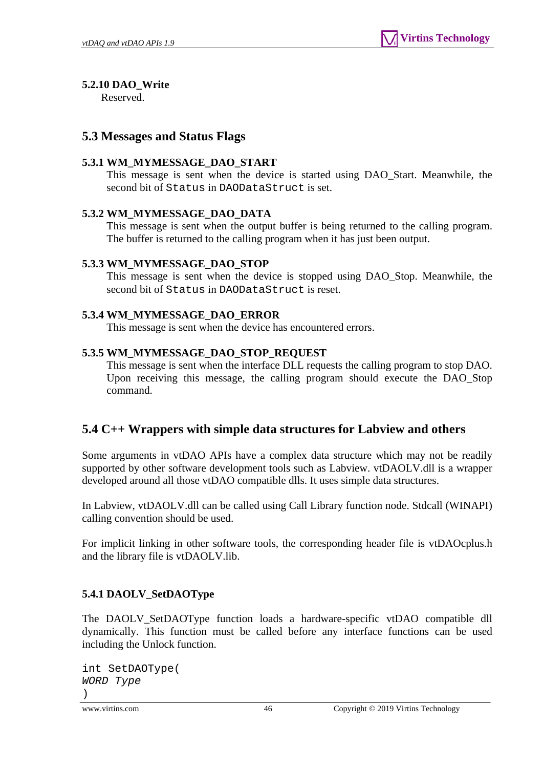# <span id="page-45-0"></span>**5.2.10 DAO\_Write**

Reserved.

# <span id="page-45-1"></span>**5.3 Messages and Status Flags**

# <span id="page-45-2"></span>**5.3.1 WM\_MYMESSAGE\_DAO\_START**

This message is sent when the device is started using DAO\_Start. Meanwhile, the second bit of Status in DAODataStruct is set.

# <span id="page-45-3"></span>**5.3.2 WM\_MYMESSAGE\_DAO\_DATA**

This message is sent when the output buffer is being returned to the calling program. The buffer is returned to the calling program when it has just been output.

# <span id="page-45-4"></span>**5.3.3 WM\_MYMESSAGE\_DAO\_STOP**

This message is sent when the device is stopped using DAO\_Stop. Meanwhile, the second bit of Status in DAODataStruct is reset.

# <span id="page-45-5"></span>**5.3.4 WM\_MYMESSAGE\_DAO\_ERROR**

This message is sent when the device has encountered errors.

# <span id="page-45-6"></span>**5.3.5 WM\_MYMESSAGE\_DAO\_STOP\_REQUEST**

This message is sent when the interface DLL requests the calling program to stop DAO. Upon receiving this message, the calling program should execute the DAO\_Stop command.

# <span id="page-45-7"></span>**5.4 C++ Wrappers with simple data structures for Labview and others**

Some arguments in vtDAO APIs have a complex data structure which may not be readily supported by other software development tools such as Labview. vtDAOLV.dll is a wrapper developed around all those vtDAO compatible dlls. It uses simple data structures.

In Labview, vtDAOLV.dll can be called using Call Library function node. Stdcall (WINAPI) calling convention should be used.

For implicit linking in other software tools, the corresponding header file is vtDAOcplus.h and the library file is vtDAOLV.lib.

# <span id="page-45-8"></span>**5.4.1 DAOLV\_SetDAOType**

The DAOLV\_SetDAOType function loads a hardware-specific vtDAO compatible dll dynamically. This function must be called before any interface functions can be used including the Unlock function.

```
int SetDAOType( 
WORD Type
)
```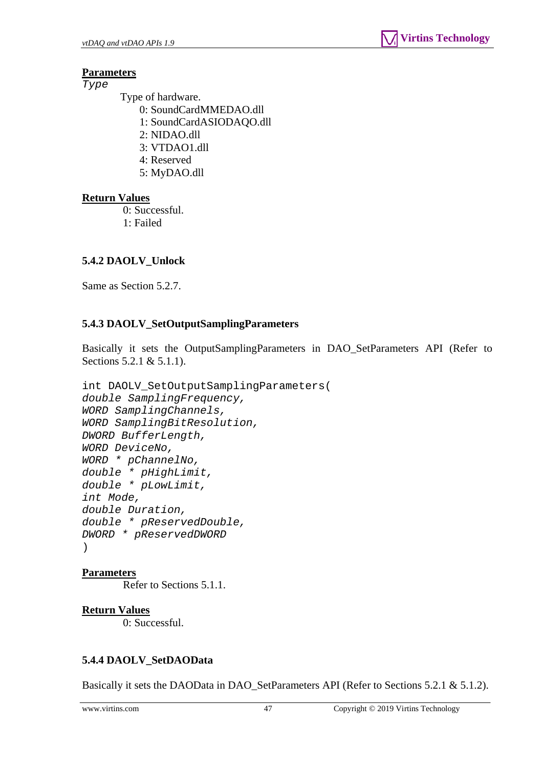*Type* 

Type of hardware.

- 0: SoundCardMMEDAO.dll
- 1: SoundCardASIODAQO.dll
- 2: NIDAO.dll
- 3: VTDAO1.dll
- 4: Reserved
- 5: MyDAO.dll

# **Return Values**

 0: Successful. 1: Failed

# <span id="page-46-0"></span>**5.4.2 DAOLV\_Unlock**

Same as Section 5.2.7.

# <span id="page-46-1"></span>**5.4.3 DAOLV\_SetOutputSamplingParameters**

Basically it sets the OutputSamplingParameters in DAO\_SetParameters API (Refer to Sections 5.2.1 & 5.1.1).

```
int DAOLV_SetOutputSamplingParameters( 
double SamplingFrequency, 
WORD SamplingChannels, 
WORD SamplingBitResolution, 
DWORD BufferLength, 
WORD DeviceNo, 
WORD * pChannelNo, 
double * pHighLimit, 
double * pLowLimit, 
int Mode, 
double Duration, 
double * pReservedDouble, 
DWORD * pReservedDWORD 
)
```
# **Parameters**

Refer to Sections 5.1.1.

# **Return Values**

0: Successful.

# <span id="page-46-2"></span>**5.4.4 DAOLV\_SetDAOData**

Basically it sets the DAOData in DAO\_SetParameters API (Refer to Sections 5.2.1 & 5.1.2).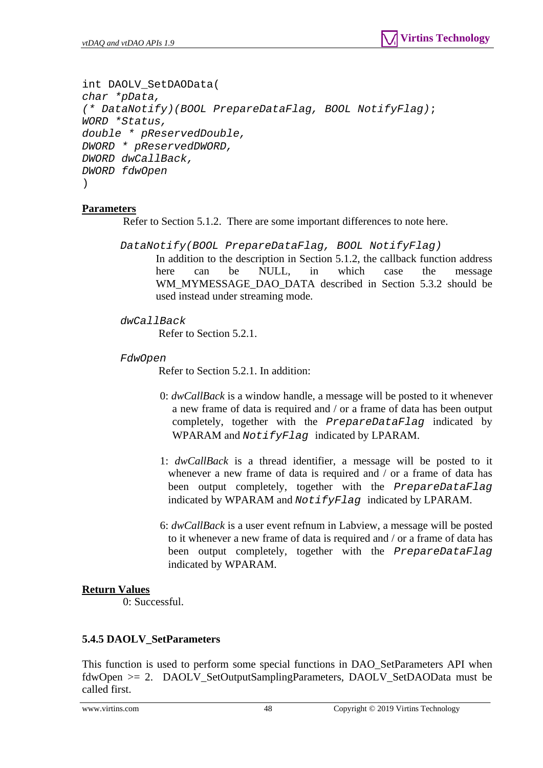```
int DAOLV_SetDAOData( 
char *pData, 
(* DataNotify)(BOOL PrepareDataFlag, BOOL NotifyFlag);
WORD *Status, 
double * pReservedDouble, 
DWORD * pReservedDWORD, 
DWORD dwCallBack, 
DWORD fdwOpen 
)
```
Refer to Section 5.1.2. There are some important differences to note here.

*DataNotify(BOOL PrepareDataFlag, BOOL NotifyFlag)*

In addition to the description in Section 5.1.2, the callback function address here can be NULL, in which case the message WM\_MYMESSAGE\_DAO\_DATA\_described in Section 5.3.2 should be used instead under streaming mode.

*dwCallBack*

Refer to Section 5.2.1.

*FdwOpen* 

Refer to Section 5.2.1. In addition:

- 0: *dwCallBack* is a window handle, a message will be posted to it whenever a new frame of data is required and / or a frame of data has been output completely, together with the *PrepareDataFlag* indicated by WPARAM and *NotifyFlag* indicated by LPARAM.
- 1: *dwCallBack* is a thread identifier, a message will be posted to it whenever a new frame of data is required and / or a frame of data has been output completely, together with the *PrepareDataFlag* indicated by WPARAM and *NotifyFlag* indicated by LPARAM.
- 6: *dwCallBack* is a user event refnum in Labview, a message will be posted to it whenever a new frame of data is required and / or a frame of data has been output completely, together with the *PrepareDataFlag* indicated by WPARAM.

#### **Return Values**

0: Successful.

#### <span id="page-47-0"></span>**5.4.5 DAOLV\_SetParameters**

This function is used to perform some special functions in DAO\_SetParameters API when fdwOpen >= 2. DAOLV\_SetOutputSamplingParameters, DAOLV\_SetDAOData must be called first.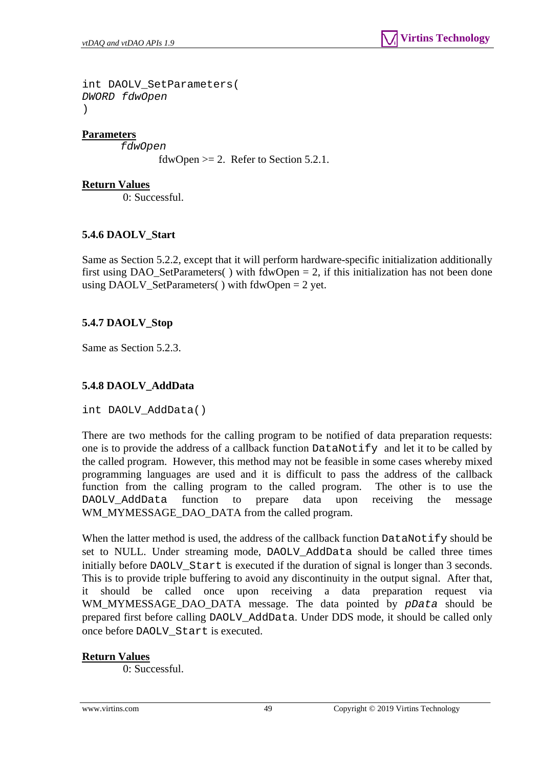```
int DAOLV_SetParameters( 
DWORD fdwOpen 
)
```
*fdwOpen* 

```
fdwOpen >= 2. Refer to Section 5.2.1.
```
### **Return Values**

0: Successful.

# <span id="page-48-0"></span>**5.4.6 DAOLV\_Start**

Same as Section 5.2.2, except that it will perform hardware-specific initialization additionally first using DAO\_SetParameters() with  $fdwOpen = 2$ , if this initialization has not been done using DAOLV\_SetParameters( $\cdot$ ) with fdwOpen = 2 yet.

# <span id="page-48-1"></span>**5.4.7 DAOLV\_Stop**

Same as Section 5.2.3.

# <span id="page-48-2"></span>**5.4.8 DAOLV\_AddData**

int DAOLV\_AddData()

There are two methods for the calling program to be notified of data preparation requests: one is to provide the address of a callback function DataNotify and let it to be called by the called program. However, this method may not be feasible in some cases whereby mixed programming languages are used and it is difficult to pass the address of the callback function from the calling program to the called program. The other is to use the DAOLV\_AddData function to prepare data upon receiving the message WM\_MYMESSAGE\_DAO\_DATA from the called program.

When the latter method is used, the address of the callback function  $\text{DataNotify}$  should be set to NULL. Under streaming mode, DAOLV\_AddData should be called three times initially before DAOLV Start is executed if the duration of signal is longer than 3 seconds. This is to provide triple buffering to avoid any discontinuity in the output signal. After that, should be called once upon receiving a data preparation request via WM\_MYMESSAGE\_DAO\_DATA message. The data pointed by *pData* should be prepared first before calling DAOLV\_AddData. Under DDS mode, it should be called only once before DAOLV\_Start is executed.

#### **Return Values**

0: Successful.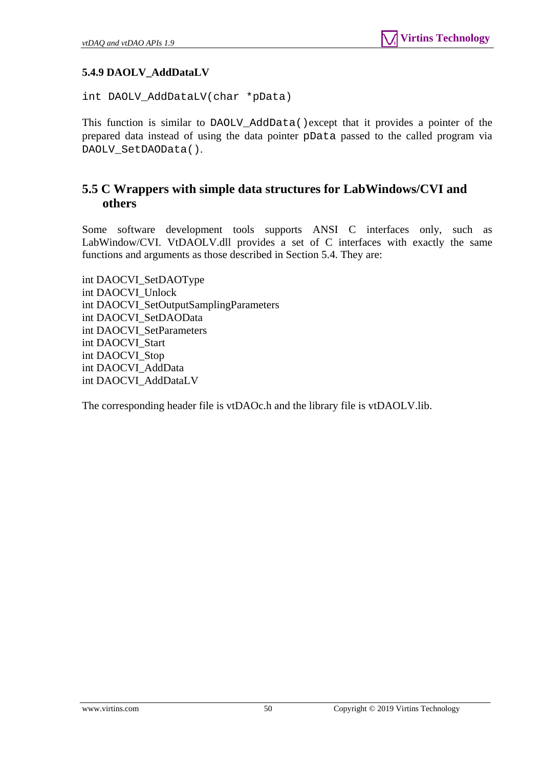# <span id="page-49-0"></span>**5.4.9 DAOLV\_AddDataLV**

int DAOLV\_AddDataLV(char \*pData)

This function is similar to DAOLV\_AddData()except that it provides a pointer of the prepared data instead of using the data pointer pData passed to the called program via DAOLV\_SetDAOData().

# <span id="page-49-1"></span>**5.5 C Wrappers with simple data structures for LabWindows/CVI and others**

Some software development tools supports ANSI C interfaces only, such as LabWindow/CVI. VtDAOLV.dll provides a set of C interfaces with exactly the same functions and arguments as those described in Section 5.4. They are:

int DAOCVI\_SetDAOType int DAOCVI\_Unlock int DAOCVI\_SetOutputSamplingParameters int DAOCVI\_SetDAOData int DAOCVI\_SetParameters int DAOCVI\_Start int DAOCVI\_Stop int DAOCVI\_AddData int DAOCVI\_AddDataLV

The corresponding header file is vtDAOc.h and the library file is vtDAOLV.lib.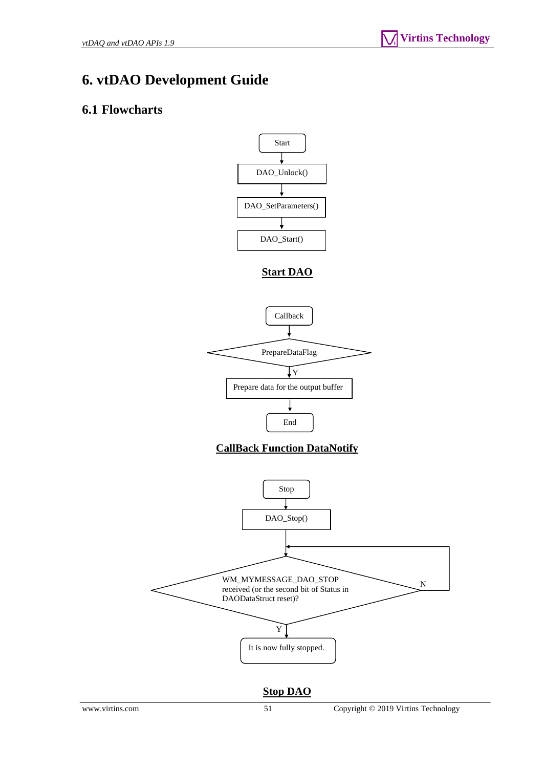# <span id="page-50-0"></span>**6. vtDAO Development Guide**

# <span id="page-50-1"></span>**6.1 Flowcharts**



**Stop DAO**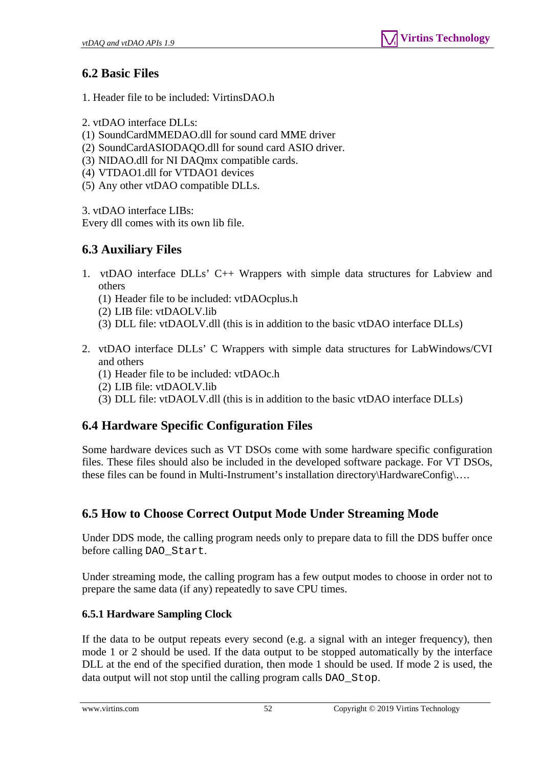# <span id="page-51-0"></span>**6.2 Basic Files**

- 1. Header file to be included: VirtinsDAO.h
- 2. vtDAO interface DLLs:
- (1) SoundCardMMEDAO.dll for sound card MME driver
- (2) SoundCardASIODAQO.dll for sound card ASIO driver.
- (3) NIDAO.dll for NI DAQmx compatible cards.
- (4) VTDAO1.dll for VTDAO1 devices
- (5) Any other vtDAO compatible DLLs.

3. vtDAO interface LIBs:

Every dll comes with its own lib file.

# <span id="page-51-1"></span>**6.3 Auxiliary Files**

- 1. vtDAO interface DLLs' C++ Wrappers with simple data structures for Labview and others
	- (1) Header file to be included: vtDAOcplus.h
	- (2) LIB file: vtDAOLV.lib
	- (3) DLL file: vtDAOLV.dll (this is in addition to the basic vtDAO interface DLLs)
- 2. vtDAO interface DLLs' C Wrappers with simple data structures for LabWindows/CVI and others
	- (1) Header file to be included: vtDAOc.h
	- (2) LIB file: vtDAOLV.lib
	- (3) DLL file: vtDAOLV.dll (this is in addition to the basic vtDAO interface DLLs)

# <span id="page-51-2"></span>**6.4 Hardware Specific Configuration Files**

Some hardware devices such as VT DSOs come with some hardware specific configuration files. These files should also be included in the developed software package. For VT DSOs, these files can be found in Multi-Instrument's installation directory\HardwareConfig\….

# <span id="page-51-3"></span>**6.5 How to Choose Correct Output Mode Under Streaming Mode**

Under DDS mode, the calling program needs only to prepare data to fill the DDS buffer once before calling DAO\_Start.

Under streaming mode, the calling program has a few output modes to choose in order not to prepare the same data (if any) repeatedly to save CPU times.

# <span id="page-51-4"></span>**6.5.1 Hardware Sampling Clock**

If the data to be output repeats every second (e.g. a signal with an integer frequency), then mode 1 or 2 should be used. If the data output to be stopped automatically by the interface DLL at the end of the specified duration, then mode 1 should be used. If mode 2 is used, the data output will not stop until the calling program calls DAO\_Stop.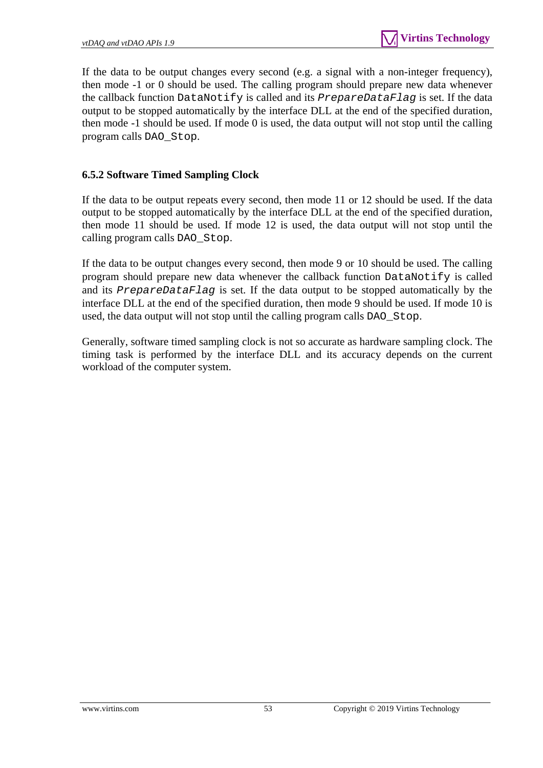If the data to be output changes every second (e.g. a signal with a non-integer frequency), then mode -1 or 0 should be used. The calling program should prepare new data whenever the callback function DataNotify is called and its *PrepareDataFlag* is set. If the data output to be stopped automatically by the interface DLL at the end of the specified duration, then mode -1 should be used. If mode 0 is used, the data output will not stop until the calling program calls DAO\_Stop.

# <span id="page-52-0"></span>**6.5.2 Software Timed Sampling Clock**

If the data to be output repeats every second, then mode 11 or 12 should be used. If the data output to be stopped automatically by the interface DLL at the end of the specified duration, then mode 11 should be used. If mode 12 is used, the data output will not stop until the calling program calls DAO\_Stop.

If the data to be output changes every second, then mode 9 or 10 should be used. The calling program should prepare new data whenever the callback function DataNotify is called and its *PrepareDataFlag* is set. If the data output to be stopped automatically by the interface DLL at the end of the specified duration, then mode 9 should be used. If mode 10 is used, the data output will not stop until the calling program calls DAO\_Stop.

Generally, software timed sampling clock is not so accurate as hardware sampling clock. The timing task is performed by the interface DLL and its accuracy depends on the current workload of the computer system.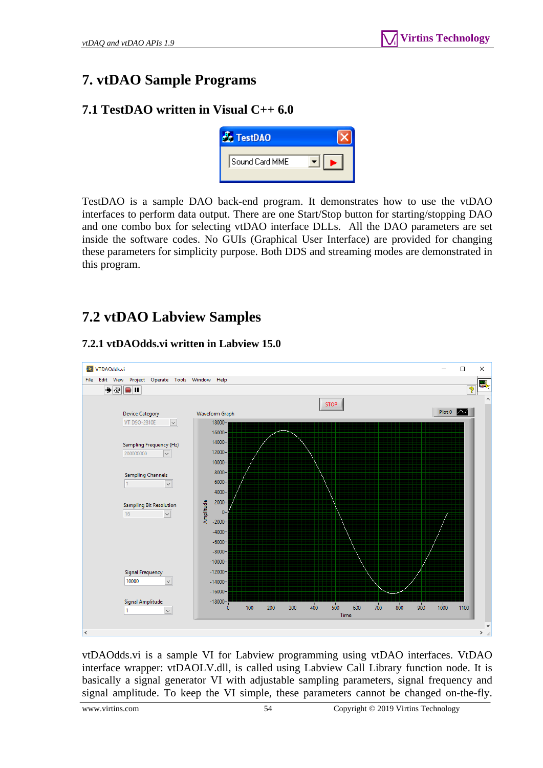# <span id="page-53-0"></span>**7. vtDAO Sample Programs**

# <span id="page-53-1"></span>**7.1 TestDAO written in Visual C++ 6.0**



TestDAO is a sample DAO back-end program. It demonstrates how to use the vtDAO interfaces to perform data output. There are one Start/Stop button for starting/stopping DAO and one combo box for selecting vtDAO interface DLLs. All the DAO parameters are set inside the software codes. No GUIs (Graphical User Interface) are provided for changing these parameters for simplicity purpose. Both DDS and streaming modes are demonstrated in this program.

# <span id="page-53-2"></span>**7.2 vtDAO Labview Samples**

# **7.2.1 vtDAOdds.vi written in Labview 15.0**

<span id="page-53-3"></span>

vtDAOdds.vi is a sample VI for Labview programming using vtDAO interfaces. VtDAO interface wrapper: vtDAOLV.dll, is called using Labview Call Library function node. It is basically a signal generator VI with adjustable sampling parameters, signal frequency and signal amplitude. To keep the VI simple, these parameters cannot be changed on-the-fly.